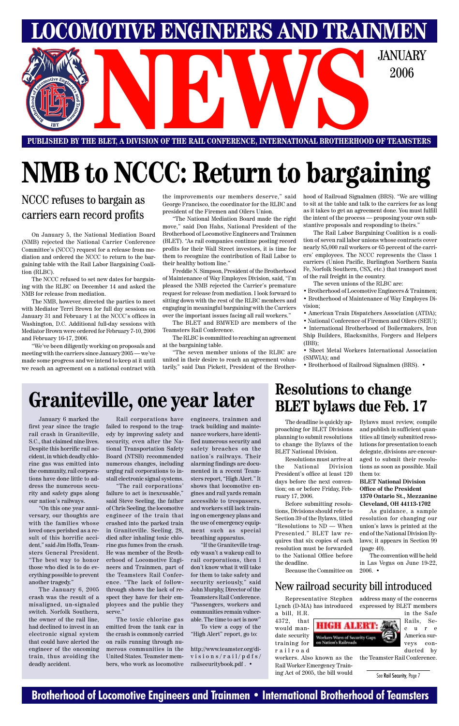### **Brotherhood of Locomotive Engineers and Trainmen • International Brotherhood of Teamsters**

**PUBLISHED BY THE BLET, A DIVISION OF THE RAIL CONFERENCE, INTERNATIONAL BROTHERHOOD OF TEAMSTERS** E BLET, A DIVISION OF THE RAIL CONFERENCE, INTERNATIONAL BROTHERHOOD OF TEAMSTER

**LOMOTIVE ENGINEERS AND TRAINMEN** 

2006

# **NMB to NCCC: Return to bargaining**

### NCCC refuses to bargain as carriers earn record profits

On January 5, the National Mediation Board (NMB) rejected the National Carrier Conference Committee's (NCCC) request for a release from mediation and ordered the NCCC to return to the bargaining table with the Rail Labor Bargaining Coalition (RLBC).

The NCCC refused to set new dates for bargaining with the RLBC on December 14 and asked the NMB for release from mediation.

The NMB, however, directed the parties to meet with Mediator Terri Brown for full day sessions on January 31 and February 1 at the NCCC's offices in Washington, D.C. Additional full-day sessions with Mediator Brown were ordered for February 7-10, 2006 and February 16-17, 2006.

"We've been diligently working on proposals and meeting with the carriers since January 2005 — we've made some progress and we intend to keep at it until we reach an agreement on a national contract with

the improvements our members deserve," said George Francisco, the coordinator for the RLBC and president of the Firemen and Oilers Union.

"The National Mediation Board made the right move," said Don Hahs, National President of the Brotherhood of Locomotive Engineers and Trainmen (BLET). "As rail companies continue posting record profits for their Wall Street investors, it is time for them to recognize the contribution of Rail Labor to their healthy bottom line."

Freddie N. Simpson, President of the Brotherhood of Maintenance of Way Employes Division, said, "I'm pleased the NMB rejected the Carrier's premature request for release from mediation. I look forward to sitting down with the rest of the RLBC members and engaging in meaningful bargaining with the Carriers over the important issues facing all rail workers."

The BLET and BMWED are members of the Teamsters Rail Conference.

The RLBC is committed to reaching an agreement at the bargaining table.

"The seven member unions of the RLBC are united in their desire to reach an agreement voluntarily," said Dan Pickett, President of the Brotherhood of Railroad Signalmen (BRS). "We are willing to sit at the table and talk to the carriers for as long as it takes to get an agreement done. You must fulfill the intent of the process — proposing your own substantive proposals and responding to theirs."

The Rail Labor Bargaining Coalition is a coalition of seven rail labor unions whose contracts cover nearly 85,000 rail workers or 65 percent of the carriers' employees. The NCCC represents the Class 1 carriers (Union Pacific, Burlington Northern Santa Fe, Norfolk Southern, CSX, etc.) that transport most of the rail freight in the country.

The seven unions of the RLBC are:

- Brotherhood of Locomotive Engineers & Trainmen; • Brotherhood of Maintenance of Way Employes Division;
- American Train Dispatchers Association (ATDA);
- National Conference of Firemen and Oilers (SEIU);

• International Brotherhood of Boilermakers, Iron Ship Builders, Blacksmiths, Forgers and Helpers (IBB);

• Sheet Metal Workers International Association (SMWIA); and

• Brotherhood of Railroad Signalmen (BRS). •

# **Graniteville, one year later Resolutions to change**

4372, that would mandate security training for railroad

Representative Stephen Lynch (D-MA) has introduced a bill, H.R. address many of the concerns expressed by BLET members

**Workers Warn of Security Gaps**<br>on Nation's Railroads

workers. Also known as the Rail Worker Emergency Training Act of 2005, the bill would



veys conducted by

the Teamster Rail Conference.

### New railroad security bill introduced

January 6 marked the first year since the tragic rail crash in Graniteville, S.C., that claimed nine lives. Despite this horrific rail accident, in which deadly chlorine gas was emitted into the community, rail corporations have done little to address the numerous security and safety gaps along our nation's railways.

"On this one year anniversary, our thoughts are with the families whose loved ones perished as a re-

sult of this horrific accident," said Jim Hoffa, Teamsters General President. "The best way to honor those who died is to do everything possible to prevent another tragedy."

The January 6, 2005 crash was the result of a misaligned, un-signaled switch. Norfolk Southern, the owner of the rail line, had declined to invest in an electronic signal system that could have alerted the engineer of the oncoming train, thus avoiding the deadly accident.

Rail corporations have failed to respond to the tragedy by improving safety and security, even after the National Transportation Safety Board (NTSB) recommended numerous changes, including urging rail corporations to install electronic signal systems.

"The rail corporations' failure to act is inexcusable," said Steve Seeling, the father of Chris Seeling, the locomotive engineer of the train that crashed into the parked train in Graniteville. Seeling, 28, died after inhaling toxic chlorine gas fumes from the crash. He was member of the Brotherhood of Locomotive Engineers and Trainmen, part of the Teamsters Rail Conference. "The lack of followthrough shows the lack of respect they have for their employees and the public they serve."

The toxic chlorine gas emitted from the tank car in the crash is commonly carried on rails running through numerous communities in the United States. Teamster members, who work as locomotive

engineers, trainmen and track building and maintenance workers, have identified numerous security and safety breaches on the nation's railways. Their alarming findings are documented in a recent Teamsters report, "High Alert." It shows that locomotive engines and rail yards remain accessible to trespassers, and workers still lack training on emergency plans and the use of emergency equipment such as special

breathing apparatus.

"If the Graniteville tragedy wasn't a wakeup call to rail corporations, then I don't know what it will take for them to take safety and security seriously," said John Murphy, Director of the Teamsters Rail Conference. "Passengers, workers and communities remain vulnerable. The time to act is now"

To view a copy of the "High Alert" report, go to:

http://www.teamster.org/divisions/rail/pdfs/ railsecuritybook.pdf . •

# **BLET bylaws due Feb. 17**

The deadline is quickly approaching for BLET Divisions planning to submit resolutions to change the Bylaws of the BLET National Division.

Resolutions must arrive at the National Division President's office at least 120 days before the next convention; on or before Friday, February 17, 2006.

Before submitting resolutions, Divisions should refer to Section 39 of the Bylaws, titled "Resolutions to ND — When Presented." BLET law requires that six copies of each resolution must be forwarded to the National Office before the deadline.

Because the Committee on

Bylaws must review, compile and publish in sufficient quantities all timely submitted resolutions for presentation to each delegate, divisions are encouraged to submit their resolutions as soon as possible. Mail them to:

#### **BLET National Division Office of the President 1370 Ontario St., Mezzanine Cleveland, OH 44113-1702**

As guidance, a sample resolution for changing our union's laws is printed at the end of the National Division Bylaws; it appears in Section 99 (page 40).

The convention will be held in Las Vegas on June 19-22, 2006. •

See Rail Security, Page 7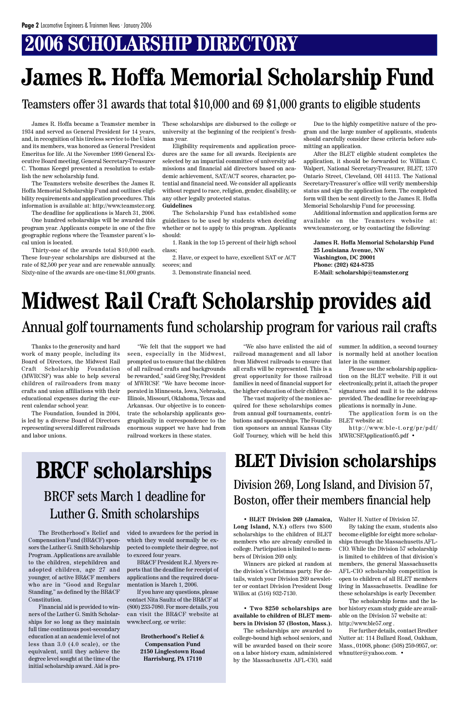## **2006 SCHOLARSHIP DIRECTORY**

• **BLET Division 269 (Jamaica,** Walter H. Nutter of Division 57. **Long Island, N.Y.)** offers two \$500 scholarships to the children of BLET members who are already enrolled in college. Participation is limited to members of Division 269 only.

Winners are picked at random at the division's Christmas party. For details, watch your Division 269 newsletter or contact Division President Doug Willox at (516) 932-7130.

• **Two \$250 scholarships are available to children of BLET members in Division 57 (Boston, Mass.).**

The scholarships are awarded to college-bound high school seniors, and will be awarded based on their score on a labor history exam, administered by the Massachusetts AFL-CIO, said

By taking the exam, students also become eligible for eight more scholarships through the Massachusetts AFL-CIO. While the Division 57 scholarship is limited to children of that division's members, the general Massachusetts AFL-CIO scholarship competition is open to children of all BLET members living in Massachusetts. Deadline for these scholarships is early December. The scholarship forms and the labor history exam study guide are available on the Division 57 website at: http://www.ble57.org . For further details, contact Brother Nutter at: 114 Bullard Road, Oakham, Mass., 01068, phone: (508) 259-9957, or: whnutter@yahoo.com. •

# BRCF sets March 1 deadline for Luther G. Smith scholarships

Compensation Fund (BR&CF) sponsors the Luther G. Smith Scholarship Program. Applications are available to the children, stepchildren and adopted children, age 27 and younger, of active BR&CF members who are in "Good and Regular Standing," as defined by the BR&CF Constitution.

The Brotherhood's Relief and vided to awardees for the period in which they would normally be expected to complete their degree, not to exceed four years.

Financial aid is provided to winners of the Luther G. Smith Scholarships for so long as they maintain full time continuous post-secondary education at an academic level of not less than 3.0 (4.0 scale), or the equivalent, until they achieve the degree level sought at the time of the initial scholarship award. Aid is pro-

http://www.ble-t.org/pr/pdf/ MWRCSFApplication05.pdf •

BR&CF President R.J. Myers reports that the deadline for receipt of applications and the required documentation is March 1, 2006.

If you have any questions, please contact Nita Saultz of the BR&CF at (800) 233-7080. For more details, you can visit the BR&CF website at www.brcf.org, or write:

> **Brotherhood's Relief & Compensation Fund 2150 Linglestown Road Harrisburg, PA 17110**

Thanks to the generosity and hard work of many people, including its Board of Directors, the Midwest Rail Craft Scholarship Foundation (MWRCSF) was able to help several children of railroaders from many crafts and union affiliations with their educational expenses during the current calendar school year.

The Foundation, founded in 2004, is led by a diverse Board of Directors representing several different railroads and labor unions.

"We felt that the support we had seen, especially in the Midwest, prompted us to ensure that the children of all railroad crafts and backgrounds be rewarded," said Greg Shy, President of MWRCSF. "We have become incorporated in Minnesota, Iowa, Nebraska, Illinois, Missouri, Oklahoma, Texas and Arkansas. Our objective is to concentrate the scholarship applicants geographically in correspondence to the enormous support we have had from railroad workers in these states.

"We also have enlisted the aid of railroad management and all labor from Midwest railroads to ensure that all crafts will be represented. This is a great opportunity for those railroad families in need of financial support for the higher education of their children."

### **BLET Division scholarships BRCF scholarships** DLCL DIVISION SCHOLARSHIPS<br>Division 269, Long Island, and Division 57, Boston, offer their members financial help

The vast majority of the monies acquired for these scholarships comes from annual golf tournaments, contributions and sponsorships. The Foundation sponsors an annual Kansas City Golf Tourney, which will be held this summer. In addition, a second tourney is normally held at another location later in the summer.

Please use the scholarship application on the BLET website. Fill it out electronically, print it, attach the proper signatures and mail it to the address provided. The deadline for receiving applications is normally in June.

The application form is on the BLET website at:

### Annual golf tournaments fund scholarship program for various rail crafts

James R. Hoffa became a Teamster member in 1934 and served as General President for 14 years, and, in recognition of his tireless service to the Union and its members, was honored as General President Emeritus for life. At the November 1999 General Executive Board meeting, General Secretary-Treasurer C. Thomas Keegel presented a resolution to establish the new scholarship fund.

The Teamsters website describes the James R. Hoffa Memorial Scholarship Fund and outlines eligibility requirements and application procedures. This information is available at: http://www.teamster.org.

The deadline for applications is March 31, 2006. One hundred scholarships will be awarded this program year. Applicants compete in one of the five geographic regions where the Teamster parent's local union is located.

Thirty-one of the awards total \$10,000 each. These four-year scholarships are disbursed at the rate of \$2,500 per year and are renewable annually. Sixty-nine of the awards are one-time \$1,000 grants.

These scholarships are disbursed to the college or university at the beginning of the recipient's freshman year.

Eligibility requirements and application procedures are the same for all awards. Recipients are selected by an impartial committee of university admissions and financial aid directors based on academic achievement, SAT/ACT scores, character, potential and financial need. We consider all applicants without regard to race, religion, gender, disability, or any other legally protected status.

#### **Guidelines**

The Scholarship Fund has established some guidelines to be used by students when deciding whether or not to apply to this program. Applicants should:

1. Rank in the top 15 percent of their high school class;

2. Have, or expect to have, excellent SAT or ACT scores; and

3. Demonstrate financial need.

Due to the highly competitive nature of the program and the large number of applicants, students should carefully consider these criteria before submitting an application.

After the BLET eligible student completes the application, it should be forwarded to: William C. Walpert, National Secretary-Treasurer, BLET, 1370 Ontario Street, Cleveland, OH 44113. The National Secretary-Treasurer's office will verify membership status and sign the application form. The completed form will then be sent directly to the James R. Hoffa Memorial Scholarship Fund for processing.

Additional information and application forms are available on the Teamsters website at: www.teamster.org, or by contacting the following:

**James R. Hoffa Memorial Scholarship Fund 25 Louisiana Avenue, NW Washington, DC 20001 Phone: (202) 624-8735 E-Mail: scholarship@teamster.org**

# **James R. Hoffa Memorial Scholarship Fund**

### Teamsters offer 31 awards that total \$10,000 and 69 \$1,000 grants to eligible students

# **Midwest Rail Craft Scholarship provides aid**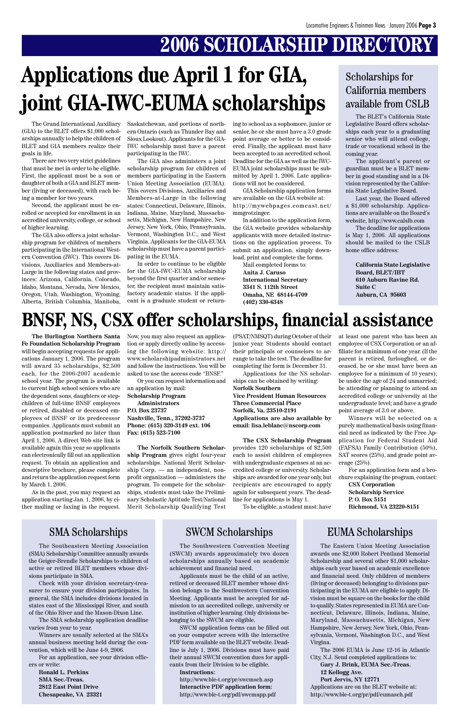## **2006 SCHOLARSHIP DIRECTORY**

**The Burlington Northern Santa Fe Foundation Scholarship Program** will begin accepting requests for applications January 1, 2006. The program will award 35 scholarships, \$2,500 each, for the 2006-2007 academic school year. The program is available to current high school seniors who are the dependent sons, daughters or stepchildren of full-time BNSF employees or retired, disabled or deceased employees of BNSF or its predecessor companies. Applicants must submit an application postmarked no later than April 1, 2006. A direct Web site link is available again this year so applicants can electronically fill out an application request. To obtain an application and descriptive brochure, please complete and return the application request form by March 1, 2006.

As in the past, you may request an application starting Jan. 1, 2006, by either mailing or faxing in the request.

The BLET's California State Legislative Board offers scholarships each year to a graduating senior who will attend college, trade or vocational school in the coming year.

The applicant's parent or guardian must be a BLET member in good standing and in a Division represented by the California State Legislative Board.

Last year, the Board offered a \$1,000 scholarship. Applications are available on the Board's website, http://www.calslb.com

The deadline for applications is May 1, 2006. All applications should be mailed to the CSLB home office address:

> **California State Legislative Board, BLET/IBT 610 Auburn Ravine Rd. Suite C Auburn, CA 95603**

### Scholarships for California members available from CSLB

## **BNSF, NS, CSX offer scholarships, financial assistance**

Now, you may also request an application or apply directly online by accessing the following website: http:// www.scholarshipadministrators.net and follow the instructions. You will be asked to use the access code "BNSF."

Or you can request information and an application by mail:

**Scholarship Program Administrators**

**P.O. Box 23737 Nashville, Tenn., 37202-3737 Phone: (615) 320-3149 ext. 106 Fax: (615) 523-7100**

**The Norfolk Southern Scholarship Program** gives eight four-year scholarships. National Merit Scholarship Corp. — an independent, nonprofit organization — administers the program. To compete for the scholarships, students must take the Preliminary Scholastic Aptitude Test/National Merit Scholarship Qualifying Test

(PSAT/NMSQT) during October of their junior year. Students should contact their principals or counselors to arrange to take the test. The deadline for completing the form is December 31.

Applications for the NS scholarships can be obtained by writing: **Norfolk Southern Vice President Human Resources Three Commercial Place Norfolk, Va. 23510-2191 Applications are also available by email: lisa.leblanc@nscorp.com**

**The CSX Scholarship Program** provides 120 scholarships of \$2,500 each to assist children of employees with undergraduate expenses at an accredited college or university. Scholarships are awarded for one year only, but recipients are encouraged to apply again for subsequent years. The deadline for applications is May 1.

To be eligible, a student must: have

at least one parent who has been an employee of CSX Corporation or an affiliate for a minimum of one year. (If the parent is retired, furloughed, or deceased, he or she must have been an employee for a minimum of 10 years); be under the age of 24 and unmarried; be attending or planning to attend an accredited college or university at the undergraduate level; and have a grade point average of 3.0 or above.

Winners will be selected on a purely mathematical basis using financial need as indicated by the Free Application for Federal Student Aid (FAFSA) Family Contribution (50%), SAT scores (25%), and grade point average (25%).

For an application form and a brochure explaining the program, contact: **CSX Corporation**

**Scholarship Service P. O. Box 5151 Richmond, VA 23220-8151**

SMA Scholarships SWCM Scholarships EUMA Scholarships

The Grand International Auxiliary (GIA) to the BLET offers \$1,000 scholarships annually to help the children of BLET and GIA members realize their goals in life.

There are two very strict guidelines that must be met in order to be eligible. First, the applicant must be a son or daughter of both a GIA and BLET member (living or deceased), with each being a member for two years.

Second, the applicant must be enrolled or accepted for enrollment in an accredited university, college, or school of higher learning.

The GIA also offers a joint scholarship program for children of members participating in the International Western Convention (IWC). This covers Divisions, Auxiliaries and Members-at-Large in the following states and provinces: Arizona, California, Colorado, Idaho, Montana, Nevada, New Mexico, Oregon, Utah, Washington, Wyoming, Alberta, British Columbia, Manitoba,

# **Applications due April 1 for GIA, joint GIA-IWC-EUMA scholarships**

Saskatchewan, and portions of northern Ontario (such as Thunder Bay and Sioux Lookout). Applicants for the GIA-IWC scholarship must have a parent participating in the IWC.

The GIA also administers a joint scholarship program for children of members participating in the Eastern Union Meeting Association (EUMA). This covers Divisions, Auxiliaries and Members-at-Large in the following states: Connecticut, Delaware, Illinois, Indiana, Maine, Maryland, Massachusetts, Michigan, New Hampshire, New Jersey, New York, Ohio, Pennsylvania, Vermont, Washington D.C., and West Virginia. Applicants for the GIA-EUMA scholarship must have a parent participating in the EUMA.

In order to continue to be eligible for the GIA-IWC-EUMA scholarship beyond the first quarter and/or semester, the recipient must maintain satisfactory academic status. If the applicant is a graduate student or returning to school as a sophomore, junior or senior, he or she must have a 3.0 grade point average or better to be considered. Finally, the applicant must have been accepted to an accredited school. Deadline for the GIA as well as the IWC-EUMA joint scholarships must be submitted by April 1, 2006. Late applications will not be considered.

GIA Scholarship application forms are available on the GIA website at: http://mywebpages.comcast.net/ mmgrotzinger.

In addition to the application form, the GIA website provides scholarship applicants with more detailed instructions on the application process. To submit an application, simply download, print and complete the forms.

Mail completed forms to: **Anita J. Caruso International Secretary 3341 S. 112th Street Omaha, NE 68144-4709 (402) 330-6348**

> The Eastern Union Meeting Association awards one \$2,000 Robert Pentland Memorial Scholarship and several other \$1,000 scholarships each year based on academic excellence and financial need. Only children of members (living or deceased) belonging to divisions participating in the EUMA are eligible to apply. Division must be square on the books for the child to qualify. States represented in EUMA are Connecticut, Delaware, Illinois, Indiana, Maine, Maryland, Massachusetts, Michigan, New Hampshire, New Jersey, New York, Ohio, Pennsylvania, Vermont, Washington D.C., and West Virgina.

> The 2006 EUMA is June 12-16 in Atlantic City, N.J. Send completed applications to:

**Gary J. Brink, EUMA Sec.-Treas. 12 Kellogg Ave. Port Jervis, NY 12771** Applications are on the BLET website at: http://www.ble-t.org/pr/pdf/eumasch.pdf

The Southeastern Meeting Association (SMA) Scholarship Committee annually awards the Geiger-Brendle Scholarships to children of active or retired BLET members whose divisions participate in SMA.

Check with your division secretary-treasurer to ensure your division participates. In general, the SMA includes divisions located in states east of the Mississippi River, and south of the Ohio River and the Mason-Dixon Line.

The SMA scholarship application deadline varies from year to year.

Winners are usually selected at the SMA's annual business meeting held during the convention, which will be June 4-9, 2006.

For an application, see your division officers or write:

**Ronald L. Perkins SMA Sec.-Treas. 2812 East Point Drive Chesapeake, VA 23321**

The Southwestern Convention Meeting (SWCM) awards approximately two dozen scholarships annually based on academic achievement and financial need.

Applicants must be the child of an active, retired or deceased BLET member whose division belongs to the Southwestern Convention Meeting. Applicants must be accepted for admission to an accredited college, university or institution of higher learning. Only divisions belonging to the SWCM are eligible.

SWCM application forms can be filled out on your computer screen with the interactive PDF form available on the BLET website. Deadline is July 1, 2006. Divisions must have paid their annual SWCM convention dues for applicants from their Division to be eligible.

#### **Instructions:**

http://www.ble-t.org/pr/swcmsch.asp **Interactive PDF application form:** http://www.ble-t.org/pdf/swcmapp.pdf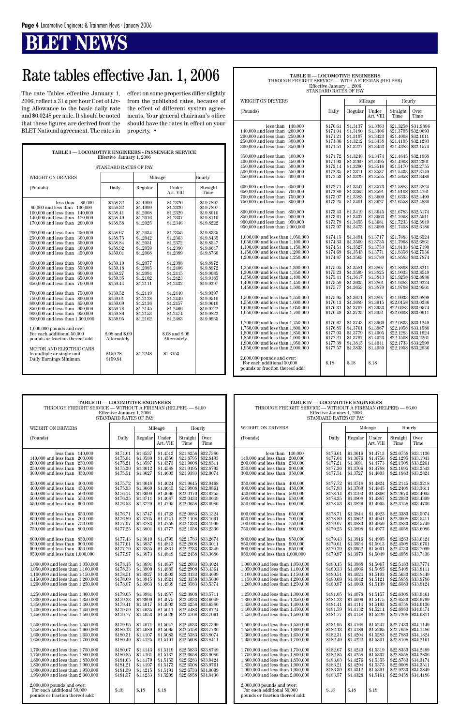## **BLET NEWS**

| TABLE I - LOCOMOTIVE ENGINEERS - PASSENGER SERVICE<br>Effective January 1, 2006                                                                                                                                                                                                                                                                                                                                                                                                                                                                                                                                                                                                                                                                                                                                                                                                                                                                        |                                                                                                                                                                                                                                                                                                                    |                                                                                                                                                                                                                                                                      |                                                                                                                                                                                                                                                                                                        |                                                                                                                                                                                                                                                                               |  |  |  |  |
|--------------------------------------------------------------------------------------------------------------------------------------------------------------------------------------------------------------------------------------------------------------------------------------------------------------------------------------------------------------------------------------------------------------------------------------------------------------------------------------------------------------------------------------------------------------------------------------------------------------------------------------------------------------------------------------------------------------------------------------------------------------------------------------------------------------------------------------------------------------------------------------------------------------------------------------------------------|--------------------------------------------------------------------------------------------------------------------------------------------------------------------------------------------------------------------------------------------------------------------------------------------------------------------|----------------------------------------------------------------------------------------------------------------------------------------------------------------------------------------------------------------------------------------------------------------------|--------------------------------------------------------------------------------------------------------------------------------------------------------------------------------------------------------------------------------------------------------------------------------------------------------|-------------------------------------------------------------------------------------------------------------------------------------------------------------------------------------------------------------------------------------------------------------------------------|--|--|--|--|
| STANDARD RATES OF PAY                                                                                                                                                                                                                                                                                                                                                                                                                                                                                                                                                                                                                                                                                                                                                                                                                                                                                                                                  |                                                                                                                                                                                                                                                                                                                    |                                                                                                                                                                                                                                                                      |                                                                                                                                                                                                                                                                                                        |                                                                                                                                                                                                                                                                               |  |  |  |  |
| <b>WEIGHT ON DRIVERS</b>                                                                                                                                                                                                                                                                                                                                                                                                                                                                                                                                                                                                                                                                                                                                                                                                                                                                                                                               |                                                                                                                                                                                                                                                                                                                    |                                                                                                                                                                                                                                                                      | Mileage                                                                                                                                                                                                                                                                                                | Hourly                                                                                                                                                                                                                                                                        |  |  |  |  |
| (Pounds)                                                                                                                                                                                                                                                                                                                                                                                                                                                                                                                                                                                                                                                                                                                                                                                                                                                                                                                                               | Daily                                                                                                                                                                                                                                                                                                              | Regular                                                                                                                                                                                                                                                              | Under<br>Art. VIII                                                                                                                                                                                                                                                                                     | Straight<br>Time                                                                                                                                                                                                                                                              |  |  |  |  |
| less than<br>80,000<br>80,000 and less than<br>100,000<br>140,000<br>100,000 and less than<br>170,000<br>140,000 and less than<br>$170,\!000$ and less than<br>200,000<br>200,000 and less than<br>250,000<br>300,000<br>250,000 and less than<br>300,000 and less than<br>350,000<br>350,000 and less than<br>400,000<br>400,000 and less than<br>450,000<br>450,000 and less than<br>500,000<br>500,000 and less than<br>550,000<br>550,000 and less than<br>600,000<br>600,000 and less than<br>650,000<br>650,000 and less than<br>700,000<br>700,000 and less than<br>750,000<br>750,000 and less than<br>800,000<br>800,000 and less than<br>850,000<br>850,000 and less than<br>900,000<br>900,000 and less than 950,000<br>950,000 and less than 1,000,000<br>$1,000,000$ pounds and over:<br>For each additional 50,000<br>pounds or fraction thereof add:<br>MOTOR AND ELECTRIC CARS<br>In multiple or single unit<br>Daily Earnings Minimun | \$158.32<br>\$158.32<br>\$158.41<br>\$158.49<br>\$158.58<br>\$158.67<br>\$158.75<br>\$158.84<br>\$158.92<br>\$159.01<br>\$159.10<br>\$159.18<br>\$159.27<br>\$159.35<br>\$159.44<br>\$159.52<br>\$159.61<br>\$159.69<br>\$159.78<br>\$159.86<br>\$159.95<br>\$.08 and \$.09<br>Alternately<br>\$159.28<br>\$159.84 | \$1.1999<br>\$1.1999<br>\$1.2008<br>\$1.2016<br>\$1.2025<br>\$1.2034<br>\$1.2042<br>\$1.2051<br>\$1.2059<br>\$1.2068<br>\$1.2077<br>\$1.2085<br>\$1.2094<br>\$1.2102<br>\$1.2111<br>\$1.2119<br>\$1.2128<br>\$1.2136<br>\$1.2145<br>\$1.2153<br>\$1.2162<br>\$1.2248 | \$1.2320<br>\$1.2320<br>\$1.2329<br>\$1.2337<br>\$1.2346<br>\$1.2355<br>\$1.2363<br>\$1.2372<br>\$1.2380<br>\$1.2389<br>\$1.2398<br>\$1.2406<br>\$1.2415<br>\$1.2423<br>\$1.2432<br>\$1.2440<br>\$1.2449<br>\$1.2457<br>\$1.2466<br>\$1.2474<br>\$1.2483<br>\$.08 and \$.09<br>Alternately<br>\$1.3153 | \$19.7897<br>\$19.7897<br>\$19.8010<br>\$19.8110<br>\$19.8222<br>\$19.8335<br>\$19.8435<br>\$19.8547<br>\$19.8647<br>\$19.8760<br>\$19.8872<br>\$19.8972<br>\$19,9085<br>\$19.9185<br>\$19.9297<br>\$19.9397<br>\$19.9510<br>\$19.9610<br>\$19.9722<br>\$19.9822<br>\$19.9935 |  |  |  |  |
|                                                                                                                                                                                                                                                                                                                                                                                                                                                                                                                                                                                                                                                                                                                                                                                                                                                                                                                                                        |                                                                                                                                                                                                                                                                                                                    |                                                                                                                                                                                                                                                                      |                                                                                                                                                                                                                                                                                                        |                                                                                                                                                                                                                                                                               |  |  |  |  |

| TABLE II — LOCOMOTIVE ENGINEERS<br>THROUGH FREIGHT SERVICE — WITH A FIREMAN (HELPER)                                                                                                                                                                                                                                                                                                                                                                                                                                                                                                                                                                                                                                                                                                                                                                                                                                                                                                                                                                                                                                                                                                                                                                                                                                                                                             |                                                                                                                                                                                                                                                                                                                                                                                                                                                          |                                                                                                                                                                                                                                                                                                                                                                                                                                                          |                                                                                                                                                                                                                                                                                                                                                                                                                                                          |                                                                                                                                                                                                                                                                                                                                                                                                                                                                                               |                                                                                                                                                                                                                                                                                                                                                                                                                                                                                               |  |  |  |
|----------------------------------------------------------------------------------------------------------------------------------------------------------------------------------------------------------------------------------------------------------------------------------------------------------------------------------------------------------------------------------------------------------------------------------------------------------------------------------------------------------------------------------------------------------------------------------------------------------------------------------------------------------------------------------------------------------------------------------------------------------------------------------------------------------------------------------------------------------------------------------------------------------------------------------------------------------------------------------------------------------------------------------------------------------------------------------------------------------------------------------------------------------------------------------------------------------------------------------------------------------------------------------------------------------------------------------------------------------------------------------|----------------------------------------------------------------------------------------------------------------------------------------------------------------------------------------------------------------------------------------------------------------------------------------------------------------------------------------------------------------------------------------------------------------------------------------------------------|----------------------------------------------------------------------------------------------------------------------------------------------------------------------------------------------------------------------------------------------------------------------------------------------------------------------------------------------------------------------------------------------------------------------------------------------------------|----------------------------------------------------------------------------------------------------------------------------------------------------------------------------------------------------------------------------------------------------------------------------------------------------------------------------------------------------------------------------------------------------------------------------------------------------------|-----------------------------------------------------------------------------------------------------------------------------------------------------------------------------------------------------------------------------------------------------------------------------------------------------------------------------------------------------------------------------------------------------------------------------------------------------------------------------------------------|-----------------------------------------------------------------------------------------------------------------------------------------------------------------------------------------------------------------------------------------------------------------------------------------------------------------------------------------------------------------------------------------------------------------------------------------------------------------------------------------------|--|--|--|
|                                                                                                                                                                                                                                                                                                                                                                                                                                                                                                                                                                                                                                                                                                                                                                                                                                                                                                                                                                                                                                                                                                                                                                                                                                                                                                                                                                                  | Effective January 1, 2006<br>STANDARD RATES OF PAY                                                                                                                                                                                                                                                                                                                                                                                                       |                                                                                                                                                                                                                                                                                                                                                                                                                                                          |                                                                                                                                                                                                                                                                                                                                                                                                                                                          |                                                                                                                                                                                                                                                                                                                                                                                                                                                                                               |                                                                                                                                                                                                                                                                                                                                                                                                                                                                                               |  |  |  |
| <b>WEIGHT ON DRIVERS</b>                                                                                                                                                                                                                                                                                                                                                                                                                                                                                                                                                                                                                                                                                                                                                                                                                                                                                                                                                                                                                                                                                                                                                                                                                                                                                                                                                         |                                                                                                                                                                                                                                                                                                                                                                                                                                                          |                                                                                                                                                                                                                                                                                                                                                                                                                                                          | Mileage                                                                                                                                                                                                                                                                                                                                                                                                                                                  | Hourly                                                                                                                                                                                                                                                                                                                                                                                                                                                                                        |                                                                                                                                                                                                                                                                                                                                                                                                                                                                                               |  |  |  |
| (Pounds)                                                                                                                                                                                                                                                                                                                                                                                                                                                                                                                                                                                                                                                                                                                                                                                                                                                                                                                                                                                                                                                                                                                                                                                                                                                                                                                                                                         | Daily                                                                                                                                                                                                                                                                                                                                                                                                                                                    | Regular                                                                                                                                                                                                                                                                                                                                                                                                                                                  | Under<br>Art. VIII                                                                                                                                                                                                                                                                                                                                                                                                                                       | Straight<br>Time                                                                                                                                                                                                                                                                                                                                                                                                                                                                              | Over<br>Time                                                                                                                                                                                                                                                                                                                                                                                                                                                                                  |  |  |  |
| less than<br>140,000<br>200,000<br>140,000 and less than<br>200,000 and less than<br>250,000<br>300,000<br>250,000 and less than<br>300,000 and less than<br>350,000<br>350,000 and less than<br>400,000<br>400,000 and less than<br>450,000<br>450,000 and less than<br>500,000<br>500,000 and less than<br>550,000<br>550,000 and less than<br>600,000<br>600,000 and less than<br>650,000<br>650,000 and less than<br>700,000<br>700,000 and less than<br>750,000<br>750,000 and less than<br>800,000<br>800,000 and less than<br>850,000<br>850,000 and less than 900,000<br>900,000 and less than 950,000<br>950,000 and less than 1,000,000<br>1,000,000 and less than 1,050,000<br>1,050,000 and less than 1,100,000<br>1,100,000 and less than 1,150,000<br>1,150,000 and less than 1,200,000<br>1,200,000 and less than 1,250,000<br>1,250,000 and less than 1,300,000<br>1,300,000 and less than 1,350,000<br>1,350,000 and less than 1,400,000<br>1,400,000 and less than 1,450,000<br>1,450,000 and less than 1,500,000<br>1,500,000 and less than 1,550,000<br>1,550,000 and less than 1,600,000<br>1,600,000 and less than 1,650,000<br>1,650,000 and less than 1,700,000<br>1,700,000 and less than 1,750,000<br>1,750,000 and less than 1,800,000<br>1,800,000 and less than 1,850,000<br>1,850,000 and less than 1,900,000<br>1,900,000 and less than 1,950,000 | \$170.61<br>\$171.04<br>\$171.21<br>\$171.36<br>\$171.51<br>\$171.72<br>\$171.93<br>\$172.14<br>\$172.35<br>\$172.53<br>\$172.71<br>\$172.89<br>\$173.07<br>\$173.25<br>\$173.43<br>\$173.61<br>\$173.79<br>\$173.97<br>\$174.15<br>\$174.33<br>\$174.51<br>\$174.69<br>\$174.87<br>\$175.05<br>\$175.23<br>\$175.41<br>\$175.59<br>\$175.77<br>\$175.95<br>\$176.13<br>\$176.31<br>\$176.49<br>\$176.67<br>\$176.85<br>\$177.03<br>\$177.21<br>\$177.39 | \$1.3137<br>\$1.3180<br>\$1.3197<br>\$1.3212<br>\$1.3227<br>\$1.3248<br>\$1.3269<br>\$1.3290<br>\$1.3311<br>\$1.3329<br>\$1.3347<br>\$1.3365<br>\$1.3383<br>\$1.3401<br>\$1.3419<br>\$1.3437<br>\$1.3455<br>\$1.3473<br>\$1.3491<br>\$1.3509<br>\$1.3527<br>\$1.3545<br>\$1.3563<br>\$1.3581<br>\$1.3599<br>\$1.3617<br>\$1.3635<br>\$1.3653<br>\$1.3671<br>\$1.3689<br>\$1.3707<br>\$1.3725<br>\$1.3743<br>\$1.3761<br>\$1.3779<br>\$1.3797<br>\$1.3815 | \$1.3363<br>\$1.3406<br>\$1.3423<br>\$1.3438<br>\$1.3453<br>\$1.3474<br>\$1.3495<br>\$1.3516<br>\$1.3537<br>\$1.3555<br>\$1.3573<br>\$1.3591<br>\$1.3609<br>\$1.3627<br>\$1.3645<br>\$1.3663<br>\$1.3681<br>\$1.3699<br>\$1.3717<br>\$1,3735<br>\$1.3753<br>\$1.3771<br>\$1.3789<br>\$1.3807<br>\$1.3825<br>\$1.3843<br>\$1.3861<br>\$1.3879<br>\$1.3897<br>\$1.3915<br>\$1.3933<br>\$1.3951<br>\$1.3969<br>\$1.3987<br>\$1.4005<br>\$1.4023<br>\$1.4041 | \$21.3258<br>\$21.3795<br>\$21.4008<br>\$21.4195<br>\$21.4383<br>\$21.4645<br>\$21.4908<br>\$21.5170<br>\$21.5433<br>\$21.5658<br>\$21.5883<br>\$21.6108<br>\$21.6333<br>\$21.6558<br>\$21.6783<br>\$21.7008<br>\$21.7233<br>\$21.7458<br>\$21.7683<br>\$21.7908<br>\$21.8133<br>\$21.8358<br>\$21.8583<br>\$21.8808<br>\$21.9033<br>\$21.9258<br>\$21.9483<br>\$21.9708<br>\$21.9933<br>\$22.0158<br>\$22.0383<br>\$22.0608<br>\$22.0833<br>\$22.1058<br>\$22.1283<br>\$22.1508<br>\$22.1733 | \$31.9886<br>\$32,0693<br>\$32.1011<br>\$32.1293<br>\$32.1574<br>\$32.1968<br>\$32.2361<br>\$32,2755<br>\$32.3149<br>\$32.3486<br>\$32.3824<br>\$32.4161<br>\$32.4499<br>\$32.4836<br>\$32.5174<br>\$32.5511<br>\$32.5849<br>\$32.6186<br>\$32.6524<br>\$32.6861<br>\$32.7199<br>\$32.7536<br>\$32.7874<br>\$32.8211<br>\$32.8549<br>\$32.8886<br>\$32.9224<br>\$32.9561<br>\$32.9899<br>\$33.0236<br>\$33.0574<br>\$33.0911<br>\$33.1249<br>\$33.1586<br>\$33.1924<br>\$33.2261<br>\$33.2599 |  |  |  |
| 1,950,000 and less than 2,000,000<br>2,000,000 pounds and over:<br>For each additional 50,000<br>pounds or fraction thereof add:                                                                                                                                                                                                                                                                                                                                                                                                                                                                                                                                                                                                                                                                                                                                                                                                                                                                                                                                                                                                                                                                                                                                                                                                                                                 | \$177.57<br>\$.18                                                                                                                                                                                                                                                                                                                                                                                                                                        | \$1.3833<br>\$.18                                                                                                                                                                                                                                                                                                                                                                                                                                        | \$1.4059<br>\$.18                                                                                                                                                                                                                                                                                                                                                                                                                                        | \$22.1958                                                                                                                                                                                                                                                                                                                                                                                                                                                                                     | \$33.2936                                                                                                                                                                                                                                                                                                                                                                                                                                                                                     |  |  |  |

| TABLE III - LOCOMOTIVE ENGINEERS<br>THROUGH FREIGHT SERVICE — WITHOUT A FIREMAN (HELPER) — \$4.00                                                                                                                          | Effective January 1, 2006<br>STANDARD RATES OF PAY                   |                                                                      |                                                                      |                                                                              |                                                                            | <b>TABLE IV - LOCOMOTIVE ENGINEERS</b><br>THROUGH FREIGHT SERVICE — WITHOUT A FIREMAN (HELPER) — \$6.00<br>Effective January 1, 2006<br>STANDARD RATES OF PAY |                                                                                                                                                                                                                            |                                                                      |                                                                      |                                                                      |                                                                            |                                                                            |
|----------------------------------------------------------------------------------------------------------------------------------------------------------------------------------------------------------------------------|----------------------------------------------------------------------|----------------------------------------------------------------------|----------------------------------------------------------------------|------------------------------------------------------------------------------|----------------------------------------------------------------------------|---------------------------------------------------------------------------------------------------------------------------------------------------------------|----------------------------------------------------------------------------------------------------------------------------------------------------------------------------------------------------------------------------|----------------------------------------------------------------------|----------------------------------------------------------------------|----------------------------------------------------------------------|----------------------------------------------------------------------------|----------------------------------------------------------------------------|
| WEIGHT ON DRIVERS                                                                                                                                                                                                          |                                                                      |                                                                      | Mileage                                                              | Hourly                                                                       |                                                                            |                                                                                                                                                               | <b>WEIGHT ON DRIVERS</b>                                                                                                                                                                                                   |                                                                      | Mileage                                                              |                                                                      | Hourly                                                                     |                                                                            |
| (Pounds)                                                                                                                                                                                                                   | Daily                                                                | Regular                                                              | Under<br>Art. VIII                                                   | Straight<br>Time                                                             | Over<br>Time                                                               |                                                                                                                                                               | (Pounds)                                                                                                                                                                                                                   | Daily                                                                | Regular                                                              | Under<br>Art. VIII                                                   | Straight<br>Time                                                           | Over<br>Time                                                               |
| less than $140,000$<br>140,000 and less than 200,000<br>200,000 and less than 250,000<br>250,000 and less than 300,000<br>300,000 and less than 350,000                                                                    | \$174.61<br>\$175.04<br>\$175.21<br>\$175.36<br>\$175.51             | \$1.3537<br>\$1.3580<br>\$1.3597<br>\$1.3612<br>\$1.3627             | \$1.4513<br>\$1.4556<br>\$1.4573<br>\$1.4588<br>\$1.4603             | \$21.8258<br>\$21.8795<br>$$21.9008 \mid $32.8511$<br>\$21.9195<br>\$21.9383 | \$32.7386<br>\$32.8193<br>\$32.8793<br>\$32.9074                           |                                                                                                                                                               | less than $140,000$<br>140,000 and less than<br>200,000<br>200,000 and less than 250,000<br>250,000 and less than 300,000<br>300,000 and less than 350,000                                                                 | \$176.61<br>\$177.04<br>\$177.21<br>\$177.36<br>\$177.51             | \$1.3616<br>\$1.3676<br>\$1.3691<br>\$1.3706<br>\$1.3727             | \$1.4713<br>\$1.4756<br>\$1.4773<br>\$1.4788<br>\$1.4803             | \$22.0758<br>\$22.1295<br>\$22.1508<br>\$22.1695<br>\$22.1883              | \$33.1136<br>\$33.1943<br>\$33.2261<br>\$33.2543<br>\$33.2824              |
| 350,000 and less than 400,000<br>400,000 and less than 450,000<br>450,000 and less than 500,000<br>500,000 and less than 550,000<br>550,000 and less than<br>600.000                                                       | \$175.72<br>\$175.93<br>\$176.14<br>\$176.35<br>\$176.53             | \$1.3648<br>\$1.3669<br>\$1.3690<br>\$1.3711<br>\$1.3729             | \$1.4624<br>\$1.4645<br>\$1.4666<br>\$1.4687<br>\$1.4705             | \$21.9645<br>\$21.9908<br>\$22.0170<br>\$22.0433<br>\$22.0658                | \$32.9468<br>\$32.9861<br>\$33.0255<br>\$33.0649<br>\$33.0986              |                                                                                                                                                               | 350,000 and less than 400,000<br>400,000 and less than 450,000<br>450,000 and less than 500,000<br>500,000 and less than 550,000<br>550,000 and less than 600,000                                                          | \$177.72<br>\$177.93<br>\$178.14<br>\$178.35<br>\$178.53             | \$1.3748<br>\$1.3769<br>\$1.3790<br>\$1.3808<br>\$1.3826             | \$1.4824<br>\$1.4845<br>\$1.4866<br>\$1.4887<br>\$1.4905             | \$22.2145<br>\$22.2408<br>\$22,2670<br>\$22.2933<br>\$22.3158              | \$33.3218<br>\$33.3611<br>\$33.4005<br>\$33.4399<br>\$33.4736              |
| 600,000 and less than 650,000<br>700,000<br>650,000 and less than<br>700,000 and less than 750,000<br>750,000 and less than 800,000                                                                                        | \$176.71<br>\$176.89<br>\$177.07<br>\$177.25                         | \$1.3747<br>\$1.3765<br>\$1.3783<br>\$1.3801                         | \$1.4723<br>\$1.4741<br>\$1.4759<br>\$1.4777                         | \$22.0883<br>\$22.1108<br>\$22.1333                                          | \$33.1324<br>\$33.1661<br>\$33.1999<br>\$22.1558 \$33.2336                 |                                                                                                                                                               | 600,000 and less than 650,000<br>650,000 and less than 700,000<br>700,000 and less than 750,000<br>750,000 and less than 800,000                                                                                           | \$178.71<br>\$178.89<br>\$179.07<br>\$179.25                         | \$1.3844<br>\$1.3862<br>\$1.3880<br>\$1.3898                         | \$1.4923<br>\$1.4941<br>\$1.4959<br>\$1.4977                         | \$22.3383<br>\$22.3608<br>\$22.3833<br>\$22.4058                           | \$33.5074<br>\$33.5411<br>\$33.5749<br>\$33.6086                           |
| 800,000 and less than 850,000<br>850,000 and less than 900,000<br>900,000 and less than 950,000<br>950,000 and less than 1,000,000                                                                                         | \$177.43<br>\$177.61<br>\$177.79<br>\$177.97                         | \$1.3819<br>\$1.3837<br>\$1.3855<br>\$1.3873                         | \$1.4795<br>\$1.4813<br>\$1.4831<br>\$1.4849                         | \$22.1783<br>\$22.2008<br>\$22.2233<br>\$22.2458                             | \$33.2674<br>\$33.3011<br>\$33.3349<br>\$33.3686                           |                                                                                                                                                               | 800,000 and less than 850,000<br>850,000 and less than 900,000<br>900,000 and less than 950,000<br>950,000 and less than 1,000,000                                                                                         | \$179.43<br>\$179.61<br>\$179.79<br>\$179.97                         | \$1.3916<br>\$1.3934<br>\$1.3952<br>\$1.3970                         | \$1.4995<br>\$1.5013<br>\$1.5031<br>\$1.5049                         | \$22.4283<br>\$22.4508<br>\$22.4733<br>\$22.4958                           | \$33.6424<br>\$33.6761<br>\$33.7099<br>\$33.7436                           |
| 1,000,000 and less than 1,050,000<br>1,050,000 and less than 1,100,000<br>1,100,000 and less than 1,150,000<br>1,150,000 and less than 1,200,000<br>1,200,000 and less than 1,250,000                                      | \$178.15<br>\$178.33<br>\$178.51<br>\$178.69<br>\$178.87             | \$1.3891<br>\$1.3909<br>\$1.3927<br>\$1.3945<br>\$1.3963             | \$1.4867<br>\$1.4885<br>\$1.4903<br>\$1.4921<br>\$1.4939             | \$22.2683<br>\$22.2908<br>\$22.3133<br>\$22.3358<br>\$22.3583                | \$33.4024<br>\$33.4361<br>\$33.4699<br>\$33.5036<br>\$33.5374              |                                                                                                                                                               | 1,000,000 and less than 1,050,000<br>1,050,000 and less than 1,100,000<br>1,100,000 and less than 1,150,000<br>1,150,000 and less than $1,200,000$<br>1,200,000 and less than 1,250,000                                    | \$180.15<br>\$180.33<br>\$180.51<br>\$180.69<br>\$180.87             | \$1.3988<br>\$1.4006<br>\$1.4024<br>\$1.4042<br>\$1.4060             | \$1.5067<br>\$1.5085<br>\$1.5103<br>\$1.5121<br>\$1.5139             | \$22.5183<br>\$22.5408<br>\$22.5633<br>\$22.5858<br>\$22.6083              | \$33.7774<br>$ $ \$33.8111<br>\$33.8449<br>\$33.8786<br>\$33.9124          |
| 1,250,000 and less than 1,300,000<br>1,300,000 and less than 1,350,000<br>$1,\!350,\!000$ and less than $1,\!400,\!000$<br>1,400,000 and less than 1,450,000<br>1,450,000 and less than 1,500,000                          | \$179.05<br>\$179.23<br>\$179.41<br>\$179.59<br>\$179.77             | \$1.3981<br>\$1.3999<br>\$1.4017<br>\$1.4035<br>\$1.4053             | \$1.4957<br>\$1.4975<br>\$1.4993<br>\$1.5011<br>\$1.5029             | \$22.3808<br>\$22.4033<br>\$22.4258<br>\$22.4483<br>\$22.4708                | \$33.5711<br>\$33.6049<br>\$33.6386<br>\$33.6724<br>\$33.7061              |                                                                                                                                                               | 1,250,000 and less than 1,300,000<br>1,300,000 and less than 1,350,000<br>1,350,000 and less than 1,400,000<br>1,400,000 and less than 1,450,000<br>1,450,000 and less than 1,500,000                                      | \$181.05<br>\$181.23<br>\$181.41<br>\$181.59<br>\$181.77             | \$1.4078<br>\$1.4096<br>\$1.4114<br>\$1.4132<br>\$1.4148             | \$1.5157<br>\$1.5175<br>\$1.5193<br>\$1.5211<br>\$1.5229             | \$22.6308<br>\$22.6533<br>\$22.6758<br>\$22.6983<br>\$22.7208              | \$33.9461<br>\$33.9799<br>\$34.0136<br>\$34.0474<br>\$34.0811              |
| 1,500,000 and less than 1,550,000<br>1,550,000 and less than 1,600,000<br>1,600,000 and less than 1,650,000<br>1,650,000 and less than 1,700,000                                                                           | \$179.95<br>\$180.13<br>\$180.31<br>\$180.49                         | \$1.4071<br>\$1.4089<br>\$1.4107<br>\$1.4125                         | \$1.5047<br>\$1.5065<br>\$1.5083<br>\$1.5101                         | \$22.4933<br>\$22.5158<br>\$22.5383<br>\$22.5608                             | \$33.7399<br>\$33.7736<br>\$33,8074<br>\$33.8411                           |                                                                                                                                                               | 1,500,000 and less than 1,550,000<br>1,550,000 and less than 1,600,000<br>1,600,000 and less than 1,650,000<br>1,650,000 and less than 1,700,000                                                                           | \$181.95<br>\$182.13<br>\$182.31<br>\$182.49                         | \$1.4168<br>\$1.4186<br>\$1.4204<br>\$1.4222                         | \$1.5247<br>\$1.5265<br>\$1.5283<br>\$1.5301                         | \$22.7433<br>\$22.7658<br>\$22.7883<br>\$22.8108                           | \$34.1149<br>\$34.1486<br>\$34.1824<br>\$34.2161                           |
| 1,700,000 and less than 1,750,000<br>1,750,000 and less than 1,800,000<br>1,800,000 and less than 1,850,000<br>1.850,000 and less than 1.900,000<br>1,900,000 and less than 1,950,000<br>1,950,000 and less than 2,000,000 | \$180.67<br>\$180.85<br>\$181.03<br>\$181.21<br>\$181.39<br>\$181.57 | \$1.4143<br>\$1.4161<br>\$1.4179<br>\$1.4197<br>\$1.4215<br>\$1.4233 | \$1.5119<br>\$1.5137<br>\$1.5155<br>\$1.5173<br>\$1.5191<br>\$1.5209 | \$22.5833<br>\$22.6058<br>\$22.6283<br>\$22.6508<br>\$22.6733<br>\$22.6958   | \$33.8749<br>\$33.9086<br>\$33.9424<br>\$33.9761<br>\$34.0099<br>\$34.0436 |                                                                                                                                                               | 1,700,000 and less than 1,750,000<br>1,750,000 and less than 1,800,000<br>1,800,000 and less than 1,850,000<br>1.850,000 and less than 1.900,000<br>1,900,000 and less than 1,950,000<br>1,950,000 and less than 2,000,000 | \$182.67<br>\$182.85<br>\$183.03<br>\$183.21<br>\$183.39<br>\$183.57 | \$1.4240<br>\$1.4258<br>\$1.4276<br>\$1.4294<br>\$1.4312<br>\$1.4328 | \$1.5319<br>\$1.5337<br>\$1.5355<br>\$1.5373<br>\$1.5391<br>\$1.5161 | \$22.8333<br>\$22.8558<br>\$22.8783<br>\$22.9008<br>\$22.9233<br>\$22.9458 | \$34.2499<br>\$34.2836<br>\$34.3174<br>\$34.3511<br>\$34.3849<br>\$34.4186 |
| $2,000,000$ pounds and over:<br>For each additional 50,000<br>pounds or fraction thereof add:                                                                                                                              | \$.18                                                                | \$.18                                                                | \$.18                                                                |                                                                              |                                                                            |                                                                                                                                                               | $2,000,000$ pounds and over:<br>For each additional 50,000<br>pounds or fraction thereof add:                                                                                                                              | \$.18                                                                | \$.18                                                                | \$.18                                                                |                                                                            |                                                                            |

| THROUGH FREIGHT SERVICE — WITHOUT A FIREMAN (HELPER) — \$4.00                                                                                                                                                                                              | Effective January 1, 2006<br>STANDARD RATES OF PAY                                           |                                                                                              |                                                                                              |                                                                                                      |                                                                                                      | THROUGH FREIGHT SERVICE — WITHOUT A FIREMAN (HELPER) — \$6.00<br>Effective January 1, 2006<br>STANDARD RATES OF PAY |                                                                                                                                                                                                                                                            |                                                                                              |                                                                                              |                                                                                              |                                                                                                                                                    |                                                  |
|------------------------------------------------------------------------------------------------------------------------------------------------------------------------------------------------------------------------------------------------------------|----------------------------------------------------------------------------------------------|----------------------------------------------------------------------------------------------|----------------------------------------------------------------------------------------------|------------------------------------------------------------------------------------------------------|------------------------------------------------------------------------------------------------------|---------------------------------------------------------------------------------------------------------------------|------------------------------------------------------------------------------------------------------------------------------------------------------------------------------------------------------------------------------------------------------------|----------------------------------------------------------------------------------------------|----------------------------------------------------------------------------------------------|----------------------------------------------------------------------------------------------|----------------------------------------------------------------------------------------------------------------------------------------------------|--------------------------------------------------|
| WEIGHT ON DRIVERS                                                                                                                                                                                                                                          |                                                                                              |                                                                                              | Mileage                                                                                      | Hourly                                                                                               |                                                                                                      |                                                                                                                     | WEIGHT ON DRIVERS<br>Daily<br>(Pounds)                                                                                                                                                                                                                     |                                                                                              | Mileage                                                                                      |                                                                                              | Hourly                                                                                                                                             |                                                  |
| (Pounds)                                                                                                                                                                                                                                                   | Daily                                                                                        | Regular                                                                                      | Under<br>Art. VIII                                                                           | Straight<br>Time                                                                                     | Over<br>Time                                                                                         |                                                                                                                     |                                                                                                                                                                                                                                                            |                                                                                              | Regular                                                                                      | Under<br>Art. VIII                                                                           | Straight<br>Time                                                                                                                                   | Over<br>Time                                     |
| less than $140,000$<br>140,000 and less than 200,000<br>200,000 and less than 250,000<br>250,000 and less than 300,000<br>300,000 and less than 350,000<br>350,000 and less than 400,000<br>400,000 and less than 450,000<br>450,000 and less than 500,000 | \$174.61<br>\$175.04<br>\$175.21<br>\$175.36<br>\$175.51<br>\$175.72<br>\$175.93<br>\$176.14 | \$1.3537<br>\$1.3580<br>\$1.3597<br>\$1.3612<br>\$1.3627<br>\$1.3648<br>\$1.3669<br>\$1.3690 | \$1.4513<br>\$1.4556<br>\$1.4573<br>\$1.4588<br>\$1.4603<br>\$1.4624<br>\$1.4645<br>\$1.4666 | \$21.8258<br>\$21.8795<br>\$21.9008<br>\$21.9195<br>\$21.9383<br>\$21.9645<br>\$21.9908<br>\$22,0170 | \$32.7386<br>\$32.8193<br>\$32.8511<br>\$32,8793<br>\$32.9074<br>\$32.9468<br>\$32.9861<br>\$33.0255 |                                                                                                                     | less than $140.000$<br>140,000 and less than 200,000<br>200,000 and less than 250,000<br>250,000 and less than 300,000<br>300,000 and less than 350,000<br>350,000 and less than 400,000<br>400,000 and less than 450,000<br>450,000 and less than 500,000 | \$176.61<br>\$177.04<br>\$177.21<br>\$177.36<br>\$177.51<br>\$177.72<br>\$177.93<br>\$178.14 | \$1.3616<br>\$1.3676<br>\$1.3691<br>\$1.3706<br>\$1.3727<br>\$1,3748<br>\$1.3769<br>\$1.3790 | \$1.4713<br>\$1.4756<br>\$1.4773<br>\$1.4788<br>\$1.4803<br>\$1.4824<br>\$1.4845<br>\$1.4866 | \$22.0758<br>$$22.1295$ \\$33.1943<br>\$22.1508<br>$$22.1695$ \\$33.2543<br>\$22.1883<br>\$22.2145<br>\$22.2408   \$33.3611<br>\$22.2670 \$33.4005 | \$33.1136<br>\$33.2261<br>\$33.2824<br>\$33.3218 |
| 500,000 and less than 550,000<br>550,000 and less than 600,000<br>600,000 and less than 650,000<br>650,000 and less than 700,000<br>700,000 and less than 750,000<br>750,000 and less than 800,000                                                         | \$176.35<br>\$176.53<br>\$176.71<br>\$176.89<br>\$177.07<br>\$177.25                         | \$1.3711<br>\$1.3729<br>\$1.3747<br>\$1.3765<br>\$1.3783<br>\$1.3801                         | \$1.4687<br>\$1.4705<br>\$1.4723<br>\$1.4741<br>\$1.4759<br>\$1.4777                         | \$22.0433<br>\$22.0658<br>\$22,0883<br>\$22.1108<br>\$22.1333<br>\$22.1558                           | \$33.0649<br>\$33.0986<br>\$33.1324<br>\$33.1661<br>\$33.1999<br>\$33,2336                           |                                                                                                                     | 500,000 and less than 550,000<br>550,000 and less than 600,000<br>600,000 and less than 650,000<br>650,000 and less than 700,000<br>700,000 and less than 750,000<br>750,000 and less than 800,000                                                         | \$178.35<br>\$178.53<br>\$178.71<br>\$178.89<br>\$179.07<br>\$179.25                         | \$1,3808<br>\$1.3826<br>\$1.3844<br>\$1.3862<br>\$1.3880<br>\$1.3898                         | \$1.4887<br>\$1.4905<br>\$1.4923<br>\$1.4941<br>\$1.4959<br>\$1.4977                         | $$22.2933 \;   \; $33.4399$<br>\$22.3158<br>\$22,3383<br>\$22.3608<br>\$22.3833 \\$33.5749<br>\$22.4058   \$33.6086                                | \$33.4736<br>\$33,5074<br>\$33.5411              |
| 800,000 and less than 850,000<br>850,000 and less than 900,000<br>900,000 and less than 950,000<br>950,000 and less than 1,000,000                                                                                                                         | \$177.43<br>\$177.61<br>\$177.79<br>\$177.97                                                 | \$1.3819<br>\$1,3837<br>\$1.3855<br>\$1.3873                                                 | \$1.4795<br>\$1.4813<br>\$1.4831<br>\$1.4849                                                 | \$22.1783<br>\$22,2008<br>\$22.2233<br>\$22,2458                                                     | \$33.2674<br>\$33.3011<br>\$33.3349<br>\$33.3686                                                     |                                                                                                                     | 800,000 and less than 850,000<br>850,000 and less than 900,000<br>900,000 and less than 950,000<br>950,000 and less than 1,000,000                                                                                                                         | \$179.43<br>\$179.61<br>\$179.79<br>\$179.97                                                 | \$1.3916<br>\$1.3934<br>\$1.3952<br>\$1.3970                                                 | \$1.4995<br>\$1.5013<br>\$1.5031<br>\$1.5049                                                 | \$22.4283<br>\$22.4508 \\$33.6761<br>\$22.4733 \$33.7099<br>\$22.4958 \\$33.7436                                                                   | \$33.6424                                        |
| 1,000,000 and less than 1,050,000<br>1.050,000 and less than 1.100,000<br>1,100,000 and less than 1,150,000<br>1,150,000 and less than 1,200,000<br>1,200,000 and less than 1,250,000                                                                      | \$178.15<br>\$178.33<br>\$178.51<br>\$178.69<br>\$178.87                                     | \$1.3891<br>\$1.3909<br>\$1.3927<br>\$1.3945<br>\$1.3963                                     | \$1.4867<br>\$1.4885<br>\$1.4903<br>\$1.4921<br>\$1.4939                                     | \$22.2683<br>\$22.2908<br>\$22.3133<br>\$22.3358<br>\$22.3583                                        | \$33.4024<br>\$33.4361<br>\$33.4699<br>\$33.5036<br>\$33.5374                                        |                                                                                                                     | $1,000,000$ and less than $1,050,000$<br>$1.050,000$ and less than $1.100,000$<br>1,100,000 and less than $1,150,000$<br>1,150,000 and less than 1,200,000<br>$1,200,000$ and less than $1,250,000$                                                        | \$180.15<br>\$180.33<br>\$180.51<br>\$180.69<br>\$180.87                                     | \$1.3988<br>\$1,4006<br>\$1.4024<br>\$1.4042<br>\$1.4060                                     | \$1.5067<br>\$1.5085<br>\$1.5103<br>\$1.5121<br>\$1.5139                                     | \$22.5183<br>$$22.5408$ \\$33.8111<br>\$22.5633<br>\$22.5858<br>\$22.6083                                                                          | \$33.7774<br>\$33.8449<br>\$33.8786<br>\$33.9124 |
| 1,250,000 and less than 1,300,000<br>1,300,000 and less than 1,350,000<br>1,350,000 and less than 1,400,000<br>1,400,000 and less than 1,450,000<br>1,450,000 and less than 1,500,000                                                                      | \$179.05<br>\$179.23<br>\$179.41<br>\$179.59<br>\$179.77                                     | \$1.3981<br>\$1.3999<br>\$1.4017<br>\$1.4035<br>\$1.4053                                     | \$1.4957<br>\$1.4975<br>\$1.4993<br>\$1.5011<br>\$1.5029                                     | \$22.3808<br>\$22,4033<br>\$22,4258<br>\$22.4483<br>\$22.4708                                        | \$33.5711<br>\$33.6049<br>\$33.6386<br>\$33.6724<br>\$33.7061                                        |                                                                                                                     | 1,250,000 and less than 1,300,000<br>1,300,000 and less than 1,350,000<br>1,350,000 and less than 1,400,000<br>1,400,000 and less than 1,450,000<br>1,450,000 and less than 1,500,000                                                                      | \$181.05<br>\$181.23<br>\$181.41<br>\$181.59<br>\$181.77                                     | \$1.4078<br>\$1.4096<br>\$1.4114<br>\$1.4132<br>\$1.4148                                     | \$1.5157<br>\$1.5175<br>\$1.5193<br>\$1.5211<br>\$1.5229                                     | \$22.6308<br>\$22.6533   \$33.9799<br>\$22.6758 \\$34.0136<br>\$22.6983   \$34.0474<br>\$22.7208   \$34.0811                                       | \$33.9461                                        |
| 1,500,000 and less than 1,550,000<br>1.550,000 and less than 1.600,000<br>1,600,000 and less than 1,650,000<br>1,650,000 and less than 1,700,000                                                                                                           | \$179.95<br>\$180.13<br>\$180.31<br>\$180.49                                                 | \$1.4071<br>\$1.4089<br>\$1.4107<br>\$1.4125                                                 | \$1.5047<br>\$1.5065<br>\$1.5083<br>\$1.5101                                                 | \$22.4933<br>\$22.5158<br>\$22,5383<br>\$22,5608                                                     | \$33.7399<br>\$33.7736<br>\$33,8074<br>\$33.8411                                                     |                                                                                                                     | 1,500,000 and less than 1,550,000<br>1.550,000 and less than 1.600,000<br>1,600,000 and less than $1,650,000$<br>1,650,000 and less than 1,700,000                                                                                                         | \$181.95<br>\$182.13<br>\$182.31<br>\$182.49                                                 | \$1.4168<br>\$1.4186<br>\$1.4204<br>\$1.4222                                                 | \$1.5247<br>\$1.5265<br>\$1.5283<br>\$1.5301                                                 | \$22.7433   \$34.1149<br>$$22.7658$ \ \$34.1486<br>\$22.7883   \$34.1824<br>\$22.8108 \\$34.2161                                                   |                                                  |
| 1,700,000 and less than 1,750,000<br>1,750,000 and less than 1,800,000<br>1,800,000 and less than 1,850,000<br>1,850,000 and less than 1,900,000<br>1,900,000 and less than 1,950,000<br>1,950,000 and less than 2,000,000                                 | \$180.67<br>\$180.85<br>\$181.03<br>\$181.21<br>\$181.39<br>\$181.57                         | \$1.4143<br>\$1.4161<br>\$1.4179<br>\$1.4197<br>\$1.4215<br>\$1.4233                         | \$1.5119<br>\$1.5137<br>\$1.5155<br>\$1.5173<br>\$1.5191<br>\$1.5209                         | \$22.5833<br>\$22.6058<br>\$22.6283<br>\$22.6508<br>\$22.6733<br>\$22.6958                           | \$33.8749<br>\$33.9086<br>\$33.9424<br>\$33.9761<br>\$34.0099<br>\$34.0436                           |                                                                                                                     | 1,700,000 and less than 1,750,000<br>1,750,000 and less than 1,800,000<br>1,800,000 and less than 1,850,000<br>1,850,000 and less than 1,900,000<br>1,900,000 and less than 1,950,000<br>1,950,000 and less than 2,000,000                                 | \$182.67<br>\$182.85<br>\$183.03<br>\$183.21<br>\$183.39<br>\$183.57                         | \$1.4240<br>\$1.4258<br>\$1.4276<br>\$1.4294<br>\$1.4312<br>\$1.4328                         | \$1.5319<br>\$1.5337<br>\$1.5355<br>\$1.5373<br>\$1.5391<br>\$1.5161                         | \$22.8333<br>\$22.8558   \$34.2836<br>\$22.8783 \$34.3174<br>\$22.9008 \\$34.3511<br>\$22.9233 \$34.3849<br>\$22.9458   \$34.4186                  | \$34.2499                                        |
| $2,000,000$ pounds and over:<br>For each additional 50,000<br>pounds or fraction thereof add:                                                                                                                                                              | \$.18                                                                                        | \$.18                                                                                        | \$.18                                                                                        |                                                                                                      |                                                                                                      |                                                                                                                     | $2,000,000$ pounds and over:<br>For each additional 50,000<br>pounds or fraction thereof add:                                                                                                                                                              | \$.18                                                                                        | \$.18                                                                                        | \$.18                                                                                        |                                                                                                                                                    |                                                  |

The rate Tables effective January 1, 2006, reflect a 31 ¢ per hour Cost of Living Allowance to the basic daily rate and \$0.0248 per mile. It should be noted that these figures are derived from the BLET National agreement. The rates in

effect on some properties differ slightly from the published rates, because of the effect of different system agreements. Your general chairman's office should have the rates in effect on your property. •

### Rate tables effective Jan. 1, 2006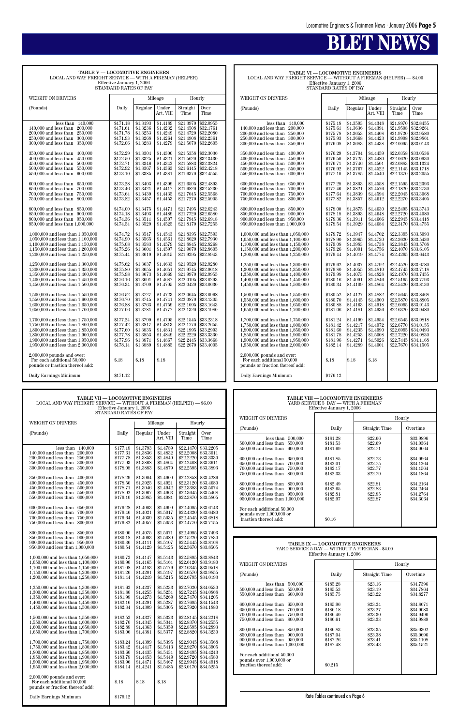## **BLET NEWS**

| TABLE V — LOCOMOTIVE ENGINEERS<br>LOCAL AND WAY FREIGHT SERVICE - WITH A FIREMAN (HELPER)<br>Effective January 1, 2006                                                                                                                                                                                                                                                                                                                                                                                                                                                                                                                                                                                                                                                                                                                                                                                                                                                                                                                                                                                                                                                                                                                                                                                                 |                                                                                                                                                                                                                                                                                                                                                                                                                                  |                                                                                                                                                                                                                                                                                                                                                                                                                                  |                                                                                                                                                                                                                                                                                                                                                                                                                                      |                                                                                                                                                                                                                                                                                                                                                                                                                                                                     |                                                                                                                                                                                                                                                                                                                                                                                                                                                                     |  |
|------------------------------------------------------------------------------------------------------------------------------------------------------------------------------------------------------------------------------------------------------------------------------------------------------------------------------------------------------------------------------------------------------------------------------------------------------------------------------------------------------------------------------------------------------------------------------------------------------------------------------------------------------------------------------------------------------------------------------------------------------------------------------------------------------------------------------------------------------------------------------------------------------------------------------------------------------------------------------------------------------------------------------------------------------------------------------------------------------------------------------------------------------------------------------------------------------------------------------------------------------------------------------------------------------------------------|----------------------------------------------------------------------------------------------------------------------------------------------------------------------------------------------------------------------------------------------------------------------------------------------------------------------------------------------------------------------------------------------------------------------------------|----------------------------------------------------------------------------------------------------------------------------------------------------------------------------------------------------------------------------------------------------------------------------------------------------------------------------------------------------------------------------------------------------------------------------------|--------------------------------------------------------------------------------------------------------------------------------------------------------------------------------------------------------------------------------------------------------------------------------------------------------------------------------------------------------------------------------------------------------------------------------------|---------------------------------------------------------------------------------------------------------------------------------------------------------------------------------------------------------------------------------------------------------------------------------------------------------------------------------------------------------------------------------------------------------------------------------------------------------------------|---------------------------------------------------------------------------------------------------------------------------------------------------------------------------------------------------------------------------------------------------------------------------------------------------------------------------------------------------------------------------------------------------------------------------------------------------------------------|--|
| STANDARD RATES OF PAY                                                                                                                                                                                                                                                                                                                                                                                                                                                                                                                                                                                                                                                                                                                                                                                                                                                                                                                                                                                                                                                                                                                                                                                                                                                                                                  |                                                                                                                                                                                                                                                                                                                                                                                                                                  |                                                                                                                                                                                                                                                                                                                                                                                                                                  |                                                                                                                                                                                                                                                                                                                                                                                                                                      |                                                                                                                                                                                                                                                                                                                                                                                                                                                                     |                                                                                                                                                                                                                                                                                                                                                                                                                                                                     |  |
| WEIGHT ON DRIVERS                                                                                                                                                                                                                                                                                                                                                                                                                                                                                                                                                                                                                                                                                                                                                                                                                                                                                                                                                                                                                                                                                                                                                                                                                                                                                                      |                                                                                                                                                                                                                                                                                                                                                                                                                                  |                                                                                                                                                                                                                                                                                                                                                                                                                                  | Mileage                                                                                                                                                                                                                                                                                                                                                                                                                              | Hourly                                                                                                                                                                                                                                                                                                                                                                                                                                                              |                                                                                                                                                                                                                                                                                                                                                                                                                                                                     |  |
| (Pounds)                                                                                                                                                                                                                                                                                                                                                                                                                                                                                                                                                                                                                                                                                                                                                                                                                                                                                                                                                                                                                                                                                                                                                                                                                                                                                                               | Daily                                                                                                                                                                                                                                                                                                                                                                                                                            | Regular                                                                                                                                                                                                                                                                                                                                                                                                                          | Under<br>Art. VIII                                                                                                                                                                                                                                                                                                                                                                                                                   | Straight<br>Time                                                                                                                                                                                                                                                                                                                                                                                                                                                    | Over<br>Time                                                                                                                                                                                                                                                                                                                                                                                                                                                        |  |
| less than<br>140,000<br>140,000 and less than<br>200,000<br>$200,\!000$ and less than<br>250,000<br>$250,000$ and less than<br>300,000<br>300,000 and less than<br>350,000<br>350,000 and less than<br>400,000<br>400,000 and less than<br>450,000<br>$450,000$ and less than<br>500,000<br>500,000 and less than<br>550,000<br>550,000 and less than<br>600,000<br>$600,000$ and less than<br>650,000<br>650,000 and less than<br>700,000<br>700,000 and less than<br>750,000<br>750,000 and less than<br>800,000<br>800,000 and less than<br>850,000<br>850,000 and less than<br>900,000<br>900,000 and less than<br>950,000<br>950,000 and less than 1,000,000<br>1,000,000 and less than 1,050,000<br>1,050,000 and less than 1,100,000<br>1,100,000 and less than 1,150,000<br>1,150,000 and less than 1,200,000<br>1,200,000 and less than 1,250,000<br>1,250,000 and less than 1,300,000<br>1,300,000 and less than 1,350,000<br>1,350,000 and less than 1,400,000<br>1,400,000 and less than 1,450,000<br>1,450,000 and less than 1,500,000<br>1,500,000 and less than 1,550,000<br>1,550,000 and less than 1,600,000<br>1,600,000 and less than 1,650,000<br>1,650,000 and less than 1,700,000<br>1,700,000 and less than 1,750,000<br>1,750,000 and less than 1,800,000<br>1,800,000 and less than 1,850,000 | \$171.18<br>\$171.61<br>\$171.78<br>\$171.93<br>\$172.06<br>\$172.29<br>\$172.50<br>\$172.71<br>\$172.92<br>\$173.10<br>\$173.28<br>\$173.46<br>\$173.64<br>\$173.82<br>\$174.00<br>\$174.18<br>\$174.36<br>\$174.54<br>\$174.72<br>\$174.90<br>\$175.08<br>\$175.26<br>\$175.44<br>\$175.62<br>\$175.80<br>\$175.98<br>\$176.16<br>\$176.34<br>\$176.52<br>\$176.70<br>\$176.88<br>\$177.06<br>\$177.24<br>\$177.42<br>\$177.60 | \$1.3193<br>\$1.3236<br>\$1.3253<br>\$1.3268<br>\$1.3283<br>\$1.3304<br>\$1.3325<br>\$1.3346<br>\$1.3367<br>\$1.3385<br>\$1.3403<br>\$1.3421<br>\$1.3439<br>\$1.3457<br>\$1.3475<br>\$1.3493<br>\$1.3511<br>\$1.3529<br>\$1.3547<br>\$1.3565<br>\$1.3583<br>\$1.3601<br>\$1.3619<br>\$1.3637<br>\$1.3655<br>\$1.3673<br>\$1.3691<br>\$1.3709<br>\$1.3727<br>\$1.3745<br>\$1.3763<br>\$1.3781<br>\$1.3799<br>\$1.3817<br>\$1.3835 | \$1.4189<br>\$1.4232<br>\$1.4249<br>\$1.4264<br>\$1.4279<br>\$1.4300<br>\$1.4321<br>\$1.4342<br>\$1.4363<br>\$1.4381<br>\$1.4399<br>\$1.4417<br>\$1.4435<br>\$1.4453<br>\$1.4471<br>\$1.4489<br>\$1.4507<br>\$1.4525<br>\$1.4543<br>\$1.4561<br>\$1.4579<br>\$1.4597<br>\$1.4615<br>\$1.4633<br>\$1.4651<br>$\$1.4669$<br>$\$1.4687$<br>\$1.4705<br>\$1.4723<br>\$1.4741<br>\$1.4759<br>\$1.4777<br>\$1.4795<br>\$1.4813<br>\$1.4831 | \$21.3970<br>\$21.4508<br>\$21.4720<br>\$21.4908<br>\$21.5070<br>\$21.5358<br>\$21.5620<br>\$21.5883<br>\$21.6145<br>\$21.6370<br>\$21.6595<br>\$21.6820<br>\$21.7045<br>\$21.7270<br>\$21.7495<br>\$21.7720<br>\$21.7945<br>\$21.8170<br>\$21.8395<br>\$21.8620<br>\$21.8845<br>\$21.9070<br>\$21.9295<br>\$21.9520<br>\$21.9745<br>\$21.9970<br>\$22.0195<br>\$22.0420<br>\$22.0645<br>\$22,0870<br>\$22.1095<br>\$22.1320<br>\$22.1545<br>\$22.1770<br>\$22.1995 | \$32.0955<br>\$32.1761<br>\$32,2080<br>\$32.2361<br>\$32,2605<br>\$32.3036<br>\$32.3430<br>\$32.3824<br>\$32.4218<br>\$32.4555<br>\$32.4893<br>\$32.5230<br>\$32.5568<br>\$32.5905<br>\$32.6243<br>\$32.6580<br>\$32.6918<br>\$32.7255<br>\$32.7593<br>\$32.7930<br>\$32.8268<br>\$32.8605<br>\$32.8943<br>\$32.9280<br>\$32.9618<br>\$32.9955<br>\$33.0293<br>\$33.0630<br>\$33.0968<br>\$33.1305<br>\$33.1643<br>\$33.1980<br>\$33.2318<br>\$33.2655<br>\$33.2993 |  |
| 1,900,000 and less than 1,950,000<br>1,950,000 and less than 2,000,000                                                                                                                                                                                                                                                                                                                                                                                                                                                                                                                                                                                                                                                                                                                                                                                                                                                                                                                                                                                                                                                                                                                                                                                                                                                 | \$177.96<br>\$178.14                                                                                                                                                                                                                                                                                                                                                                                                             | \$1.3871<br>\$1.3889                                                                                                                                                                                                                                                                                                                                                                                                             | \$1.4867<br>\$1.4885                                                                                                                                                                                                                                                                                                                                                                                                                 | \$22.2445<br>\$22.2670                                                                                                                                                                                                                                                                                                                                                                                                                                              | \$33.3668<br>\$33.4005                                                                                                                                                                                                                                                                                                                                                                                                                                              |  |
| 1,850,000 and less than 1,900,000                                                                                                                                                                                                                                                                                                                                                                                                                                                                                                                                                                                                                                                                                                                                                                                                                                                                                                                                                                                                                                                                                                                                                                                                                                                                                      | \$177.78                                                                                                                                                                                                                                                                                                                                                                                                                         | \$1.3853                                                                                                                                                                                                                                                                                                                                                                                                                         | \$1.4849                                                                                                                                                                                                                                                                                                                                                                                                                             | \$22.2220                                                                                                                                                                                                                                                                                                                                                                                                                                                           | \$33.3330                                                                                                                                                                                                                                                                                                                                                                                                                                                           |  |
| $2,000,000$ pounds and over:<br>For each additional 50,000<br>pounds or fraction thereof add:                                                                                                                                                                                                                                                                                                                                                                                                                                                                                                                                                                                                                                                                                                                                                                                                                                                                                                                                                                                                                                                                                                                                                                                                                          | \$.18                                                                                                                                                                                                                                                                                                                                                                                                                            | $\$.18$                                                                                                                                                                                                                                                                                                                                                                                                                          | \$.18                                                                                                                                                                                                                                                                                                                                                                                                                                |                                                                                                                                                                                                                                                                                                                                                                                                                                                                     |                                                                                                                                                                                                                                                                                                                                                                                                                                                                     |  |
| Daily Earnings Minimum                                                                                                                                                                                                                                                                                                                                                                                                                                                                                                                                                                                                                                                                                                                                                                                                                                                                                                                                                                                                                                                                                                                                                                                                                                                                                                 | \$171.12                                                                                                                                                                                                                                                                                                                                                                                                                         |                                                                                                                                                                                                                                                                                                                                                                                                                                  |                                                                                                                                                                                                                                                                                                                                                                                                                                      |                                                                                                                                                                                                                                                                                                                                                                                                                                                                     |                                                                                                                                                                                                                                                                                                                                                                                                                                                                     |  |

**TABLE VI — LOCOMOTIVE ENGINEERS** LOCAL AND WAY FREIGHT SERVICE — WITHOUT A FIREMAN (HELPER) — \$4.00 Effective January 1, 2006 STANDARD RATES OF PAY

| WEIGHT ON DRIVERS                                                                                                                                                                                                          |                                                                      |                                                                      | Mileage                                                              | Hourly                                                                     |                                                                            |
|----------------------------------------------------------------------------------------------------------------------------------------------------------------------------------------------------------------------------|----------------------------------------------------------------------|----------------------------------------------------------------------|----------------------------------------------------------------------|----------------------------------------------------------------------------|----------------------------------------------------------------------------|
| (Pounds)                                                                                                                                                                                                                   | Daily                                                                | Regular                                                              | Under<br>Art. VIII                                                   | Straight<br>Time                                                           | Over<br>Time                                                               |
| less than<br>140,000<br>$140,\!000$ and less than<br>200,000<br>200,000 and less than<br>250,000<br>250,000 and less than<br>300,000<br>300,000 and less than<br>350,000                                                   | \$175.18<br>\$175.61<br>\$175.78<br>\$175.93<br>\$176.08             | \$1.3593<br>\$1.3636<br>\$1.3653<br>\$1.3668<br>\$1.3683             | \$1.4348<br>\$1.4391<br>\$1.4408<br>\$1.4423<br>\$1.4438             | \$21.8970<br>\$21.9508<br>\$21.9720<br>\$21.9908<br>\$22.0095              | \$32.8455<br>\$32.9261<br>\$32.9580<br>\$32.9861<br>\$33.0143              |
| 350,000 and less than<br>400,000<br>400,000 and less than<br>450,000<br>450,000 and less than<br>500,000<br>500,000 and less than<br>550,000<br>550,000 and less than<br>600.000                                           | \$176.29<br>\$176.50<br>\$176.71<br>\$176.92<br>\$177.10             | \$1.3704<br>\$1.3725<br>\$1.3746<br>\$1.3767<br>\$1.3785             | \$1.4459<br>\$1.4480<br>\$1.4501<br>\$1.4522<br>\$1.4540             | \$22.0358<br>\$22.0620<br>\$22.0883<br>\$22.1145<br>\$22.1370              | \$33.0536<br>\$33.0930<br>\$33.1324<br>\$33.1718<br>\$33.2055              |
| 600,000 and less than<br>650,000<br>650,000 and less than<br>700,000<br>700,000 and less than<br>750,000<br>750,000 and less than<br>800,000                                                                               | \$177.28<br>\$177.46<br>\$177.64<br>\$177.82                         | \$1.3803<br>\$1.3821<br>\$1.3839<br>\$1.3857                         | \$1.4558<br>\$1.4576<br>\$1.4594<br>\$1.4612                         | \$22.1595<br>\$22.1820<br>\$22.2045<br>\$22.2270                           | \$33.2393<br>\$33.2730<br>\$33,3068<br>\$33.3405                           |
| 800,000 and less than<br>850,000<br>850,000 and less than<br>900,000<br>900,000 and less than 950,000<br>950,000 and less than 1,000,000                                                                                   | \$178.00<br>\$178.18<br>\$178.36<br>\$178.54                         | \$1.3875<br>\$1.3893<br>\$1.3911<br>\$1.3929                         | \$1.4630<br>\$1.4648<br>\$1.4666<br>\$1.4684                         | \$22.2495<br>\$22,2720<br>\$22.2945<br>\$22.3170                           | \$33.3743<br>\$33.4080<br>\$33.4418<br>\$33.4755                           |
| 1,000,000 and less than 1,050,000<br>1,050,000 and less than 1,100,000<br>1,100,000 and less than 1,150,000<br>1,150,000 and less than 1,200,000<br>1,200,000 and less than 1,250,000                                      | \$178.72<br>\$178.90<br>\$179.08<br>\$179.26<br>\$179.44             | \$1.3947<br>\$1.3965<br>\$1.3983<br>\$1.4001<br>\$1.4019             | \$1.4702<br>\$1.4720<br>\$1.4738<br>\$1.4756<br>\$1.4774             | \$22.3395<br>\$22.3620<br>\$22.3845<br>\$22.4070<br>\$22.4295              | \$33.5093<br>\$33.5430<br>\$33.5768<br>\$33.6105<br>\$33.6443              |
| 1,250,000 and less than 1,300,000<br>1,300,000 and less than 1,350,000<br>1,350,000 and less than 1,400,000<br>1,400,000 and less than 1,450,000<br>1,450,000 and less than 1,500,000                                      | \$179.62<br>\$179.80<br>\$179.98<br>\$180.16<br>\$180.34             | \$1.4037<br>\$1.4055<br>\$1.4073<br>\$1.4091<br>\$1.4109             | \$1.4792<br>\$1.4810<br>\$1.4828<br>\$1.4846<br>\$1.4864             | \$22.4520<br>\$22.4745<br>\$22.4970<br>\$22.5195<br>\$22.5420              | \$33.6780<br>\$33.7118<br>\$33.7455<br>\$33.7793<br>\$33.8130              |
| 1,500,000 and less than 1,550,000<br>1.550,000 and less than 1.600,000<br>1,600,000 and less than 1,650,000<br>1,650,000 and less than 1,700,000                                                                           | \$180.52<br>\$180.70<br>\$180.88<br>\$181.06                         | \$1.4127<br>\$1.4145<br>\$1.4163<br>\$1.4181                         | \$1.4882<br>\$1.4900<br>\$1.4918<br>\$1.4936                         | \$22.5645<br>\$22.5870<br>\$22.6095<br>\$22.6320                           | \$33.8468<br>\$33.8805<br>\$33.9143<br>\$33.9480                           |
| 1,700,000 and less than 1,750,000<br>1,750,000 and less than 1,800,000<br>1,800,000 and less than 1,850,000<br>1,850,000 and less than 1,900,000<br>1,900,000 and less than 1,950,000<br>1,950,000 and less than 2,000,000 | \$181.24<br>\$181.42<br>\$181.60<br>\$181.78<br>\$181.96<br>\$182.14 | \$1.4199<br>\$1.4217<br>\$1.4235<br>\$1.4253<br>\$1.4271<br>\$1.4289 | \$1.4954<br>\$1.4972<br>\$1.4990<br>\$1.5008<br>\$1.5026<br>\$1.4001 | \$22.6545<br>\$22.6770<br>\$22.6995<br>\$22.7220<br>\$22.7445<br>\$22.7670 | \$33.9818<br>\$34.0155<br>\$34.0493<br>\$34.0830<br>\$34.1168<br>\$34.1505 |
| $2,000,000$ pounds and over:<br>For each additional 50,000<br>pounds or fraction thereof add:                                                                                                                              | \$.18                                                                | \$.18                                                                | \$.18                                                                |                                                                            |                                                                            |
| Daily Earnings Minimum                                                                                                                                                                                                     | \$176.12                                                             |                                                                      |                                                                      |                                                                            |                                                                            |

| <b>TABLE VII — LOCOMOTIVE ENGINEERS</b>                             |  |
|---------------------------------------------------------------------|--|
| LOCAL AND WAY FREIGHT SERVICE — WITHOUT A FIREMAN (HELPER) — \$6.00 |  |
| Effective January 1, 2006                                           |  |
| STANDARD RATES OF PAY                                               |  |

| WEIGHT ON DRIVERS                                                      |                      |                      | Mileage              |                        | Hourly                           | уу глан нь толуу тагшин тагаа                                  |                                 |                                                 | rroarr                 |
|------------------------------------------------------------------------|----------------------|----------------------|----------------------|------------------------|----------------------------------|----------------------------------------------------------------|---------------------------------|-------------------------------------------------|------------------------|
|                                                                        |                      |                      |                      |                        |                                  | (Pounds)                                                       | Daily                           | Straight Time                                   | Overtime               |
| (Pounds)                                                               | Daily                | Regular              | Under<br>Art. VIII   | Straight<br>Time       | Over<br>Time                     |                                                                |                                 |                                                 |                        |
|                                                                        |                      |                      |                      |                        |                                  | less than $500,000$<br>500,000 and less than 550,000           | \$181.28<br>\$181.53            | \$22.66<br>\$22.69                              | \$33.9896<br>\$34.0364 |
| less than $140,000$                                                    | \$177.18             | \$1.3793             | \$1.4789             | \$22.1470              | \$33.2205                        | $550,000$ and less than $600,000$                              | \$181.69                        | \$22.71                                         | \$34.0664              |
| 140,000 and less than 200,000                                          | \$177.61             | \$1.3836             | \$1.4832             | \$22.2008<br>\$22.2220 | \$33.3011                        |                                                                |                                 |                                                 |                        |
| 200,000 and less than 250,000<br>250,000 and less than 300,000         | \$177.78<br>\$177.93 | \$1.3853<br>\$1.3868 | \$1.4849<br>\$1.4864 | \$22.2408              | \$33.3330<br>\$33.3611           | 600,000 and less than 650,000<br>650,000 and less than 700,000 | \$181.85<br>\$182.01            | \$22.73<br>\$22.75                              | \$34.0964<br>\$34.1264 |
| 300,000 and less than 350,000                                          | \$178.08             | \$1.3883             | \$1.4879             | \$22.2595              | \$33.3893                        | 700,000 and less than 750,000                                  | \$182.17                        | \$22.77                                         | \$34.1564              |
|                                                                        |                      |                      |                      |                        |                                  | 750,000 and less than 800,000                                  | \$182.33                        | \$22.79                                         | \$34.1864              |
| 350,000 and less than 400,000<br>450,000                               | \$178.29<br>\$178.50 | \$1.3904<br>\$1.3925 | \$1.4900<br>\$1.4921 | \$22,2858<br>\$22.3120 | \$33.4286<br>\$33.4680           |                                                                |                                 |                                                 |                        |
| $400,000$ and less than<br>450,000 and less than 500,000               | \$178.71             | \$1.3946             | \$1.4942             |                        | \$22.3383 \$33.5074              | 800,000 and less than 850,000                                  | \$182.49                        | \$22.81<br>\$22.83                              | \$34.2164              |
| 500,000 and less than 550,000                                          | \$178.92             | \$1.3967             | \$1.4963             |                        | \$22.3645 \$33.5468              | 850,000 and less than 900,000<br>900,000 and less than 950,000 | \$182.65<br>\$182.81            | \$22.85                                         | \$34.2464<br>\$34.2764 |
| 550,000 and less than 600,000                                          | \$179.10             | \$1.3985             | \$1.4981             | \$22.3870              | \$33.5805                        | 950,000 and less than 1,000,000                                | \$182.97                        | \$22.87                                         | \$34.3064              |
| 600,000 and less than 650,000                                          | \$179.28             | \$1.4003             | \$1.4999             |                        | \$22.4095 \$33.6143              |                                                                |                                 |                                                 |                        |
| 650,000 and less than 700,000                                          | \$179.46             | \$1.4021             | \$1.5017             |                        | \$22.4320 \$33.6480              | For each additional 50,000                                     |                                 |                                                 |                        |
| 700,000 and less than 750,000                                          | \$179.64             | \$1.4039             | \$1.5035             |                        | \$22.4545 \$33.6818              | pounds over $1,000,000$ or<br>fraction thereof add:            | \$0.16                          |                                                 |                        |
| 750,000 and less than 800,000                                          | \$179.82             | \$1.4057             | \$1.5053             |                        | \$22.4770 \$33.7155              |                                                                |                                 |                                                 |                        |
| 800,000 and less than 850,000                                          | \$180.00             | \$1.4075             | \$1.5071             |                        | \$22.4995 \$33.7493              |                                                                |                                 |                                                 |                        |
| 850,000 and less than 900,000                                          | \$180.18             | \$1.4093             | \$1.5089             |                        | \$22.5220 \$33.7830              |                                                                |                                 |                                                 |                        |
| 900,000 and less than 950,000                                          | \$180.36             | \$1.4111             | \$1.5107             |                        | \$22.5445 \$33.8168              |                                                                | TABLE IX — LOCOMOTIVE ENGINEERS |                                                 |                        |
| 950,000 and less than 1,000,000                                        | \$180.54             | \$1.4129             | \$1.5125             |                        | \$22,5670 \$33,8505              |                                                                |                                 | YARD SERVICE 5 DAY - WITHOUT A FIREMAN - \$4.00 |                        |
| 1,000,000 and less than 1,050,000                                      | \$180.72             | \$1.4147             | \$1.5143             | \$22.5895              | \$33.8843                        |                                                                | Effective January 1, 2006       |                                                 |                        |
| 1,050,000 and less than 1,100,000                                      | \$180.90             | \$1.4165             | \$1.5161             | \$22.6120              | \$33.9180                        | <b>WEIGHT ON DRIVERS</b>                                       |                                 |                                                 | Hourly                 |
| 1,100,000 and less than 1,150,000                                      | \$181.08             | \$1.4183             | \$1.5179             | \$22.6345              | \$33.9518                        |                                                                |                                 |                                                 |                        |
| 1,150,000 and less than 1,200,000                                      | \$181.26             | \$1.4201             | \$1.5197             | \$22.6570              | \$33.9855                        | (Pounds)                                                       | Daily                           | Straight Time                                   | Overtime               |
| 1,200,000 and less than 1,250,000                                      | \$181.44             | \$1.4219             | \$1.5215             |                        | \$22.6795 \$34.0193              |                                                                |                                 |                                                 |                        |
| 1,250,000 and less than 1,300,000                                      | \$181.62             | \$1.4237             | \$1.5233             |                        | \$22.7020 \$34.0530              | less than $500,000$<br>500,000 and less than 550,000           | \$185.28<br>\$185.53            | \$23.16<br>\$23.19                              | \$34.7396<br>\$34.7864 |
| 1,300,000 and less than 1,350,000                                      | \$181.80             | \$1.4255             | \$1.5251             | \$22.7245              | \$34.0868                        | 550,000 and less than 600,000                                  | \$185.75                        | \$23.22                                         | \$34.8277              |
| 1,350,000 and less than 1,400,000                                      | \$181.98             | \$1.4273             | \$1.5269             |                        | \$22,7470 \$34,1205              |                                                                |                                 |                                                 |                        |
| 1,400,000 and less than 1,450,000<br>1,450,000 and less than 1,500,000 | \$182.16<br>\$182.34 | \$1.4291<br>\$1.4309 | \$1.5287<br>\$1.5305 | \$22.7695              | \$34.1543<br>\$22.7920 \$34.1880 | 600,000 and less than 650,000                                  | \$185.96                        | \$23.24                                         | \$34.8671              |
|                                                                        |                      |                      |                      |                        |                                  | 650,000 and less than 700,000                                  | \$186.18                        | \$23.27                                         | \$34.9083              |
| 1,500,000 and less than 1,550,000                                      | \$182.52             | \$1.4327             | \$1.5323             |                        | $$22.8145$ \$34.2218             | 700,000 and less than 750,000<br>750,000 and less than 800,000 | \$186.40<br>\$186.61            | \$23.30<br>\$23.33                              | \$34.9496<br>\$34.9889 |
| 1,550,000 and less than 1,600,000                                      | \$182.70             | \$1.4345             | \$1.5341             |                        | \$22.8370 \$34.2555              |                                                                |                                 |                                                 |                        |
| 1,600,000 and less than 1,650,000<br>1,650,000 and less than 1,700,000 | \$182.88<br>\$183.06 | \$1.4363<br>\$1.4381 | \$1.5359<br>\$1.5377 | \$22.8595<br>\$22.8820 | \$34.2893<br>\$34.3230           | 800,000 and less than 850,000                                  | \$186.83                        | \$23.35                                         | \$35,0302              |
|                                                                        |                      |                      |                      |                        |                                  | 850,000 and less than 900,000                                  | \$187.04                        | \$23.38                                         | \$35,0696              |
| 1,700,000 and less than 1,750,000                                      | \$183.24             | \$1.4399             | \$1.5395             | \$22.9045              | \$34.3568                        | 900,000 and less than 950,000                                  | \$187.26                        | \$23.41                                         | \$35.1108              |
| 1.750,000 and less than 1.800,000                                      | \$183.42             | \$1.4417             | \$1.5413             |                        | \$22.9270 \$34.3905              | 950,000 and less than 1,000,000                                | \$187.48                        | \$23.43                                         | \$35.1521              |
| 1,800,000 and less than 1,850,000                                      | \$183.60             | \$1.4435             | \$1.5431             |                        | \$22.9495 \$34.4243              | For each additional 50,000                                     |                                 |                                                 |                        |
| 1,850,000 and less than 1,900,000<br>1,900,000 and less than 1,950,000 | \$183.78<br>\$183.96 | \$1.4453<br>\$1.4471 | \$1.5449<br>\$1.5467 | \$22.9945              | \$22.9720 \$34.4580<br>\$34.4918 | pounds over 1,000,000 or                                       |                                 |                                                 |                        |
| 1,950,000 and less than 2,000,000                                      | \$184.14             | \$1.4241             | \$1.5485             |                        | \$23.0170 \$34.5255              | fraction thereof add:                                          | \$0.215                         |                                                 |                        |
|                                                                        |                      |                      |                      |                        |                                  |                                                                |                                 |                                                 |                        |
| $2,000,000$ pounds and over:<br>For each additional 50,000             | \$.18                | $\$.18$              | \$.18                |                        |                                  |                                                                |                                 |                                                 |                        |
| pounds or fraction thereof add:                                        |                      |                      |                      |                        |                                  |                                                                |                                 |                                                 |                        |
|                                                                        |                      |                      |                      |                        |                                  |                                                                |                                 |                                                 |                        |
| Daily Earnings Minimum                                                 | \$179.12             |                      |                      |                        |                                  |                                                                | Rate Tables continued on Page 6 |                                                 |                        |
|                                                                        |                      |                      |                      |                        |                                  |                                                                |                                 |                                                 |                        |

#### **TABLE VIII — LOCOMOTIVE ENGINEERS** YARD SERVICE 5 DAY — WITH A FIREMAN Effective January 1, 2006

| WEIGHT ON DRIVERS                                                                                                                                                                                                                                                                                                                                                                                                                         |                                                                                                                                  |                                                                                                                       | Hourly                                                                                                                                      |
|-------------------------------------------------------------------------------------------------------------------------------------------------------------------------------------------------------------------------------------------------------------------------------------------------------------------------------------------------------------------------------------------------------------------------------------------|----------------------------------------------------------------------------------------------------------------------------------|-----------------------------------------------------------------------------------------------------------------------|---------------------------------------------------------------------------------------------------------------------------------------------|
| (Pounds)                                                                                                                                                                                                                                                                                                                                                                                                                                  | Daily                                                                                                                            | Straight Time                                                                                                         | Overtime                                                                                                                                    |
| 500,000<br>less than<br>500,000 and less than<br>550,000<br>550,000 and less than<br>600,000<br>600,000 and less than 650,000<br>650,000 and less than<br>700,000<br>700,000 and less than<br>750,000<br>750,000 and less than<br>800,000<br>800,000 and less than 850,000<br>850,000 and less than 900,000<br>900,000 and less than 950,000<br>950,000 and less than 1,000,000<br>For each additional 50,000<br>pounds over 1,000,000 or | \$181.28<br>\$181.53<br>\$181.69<br>\$181.85<br>\$182.01<br>\$182.17<br>\$182.33<br>\$182.49<br>\$182.65<br>\$182.81<br>\$182.97 | \$22.66<br>\$22.69<br>\$22.71<br>\$22.73<br>\$22.75<br>\$22.77<br>\$22.79<br>\$22.81<br>\$22.83<br>\$22.85<br>\$22.87 | \$33.9896<br>\$34.0364<br>\$34.0664<br>\$34.0964<br>\$34.1264<br>\$34.1564<br>\$34.1864<br>\$34.2164<br>\$34.2464<br>\$34.2764<br>\$34.3064 |
| fraction thereof add:                                                                                                                                                                                                                                                                                                                                                                                                                     | \$0.16                                                                                                                           |                                                                                                                       |                                                                                                                                             |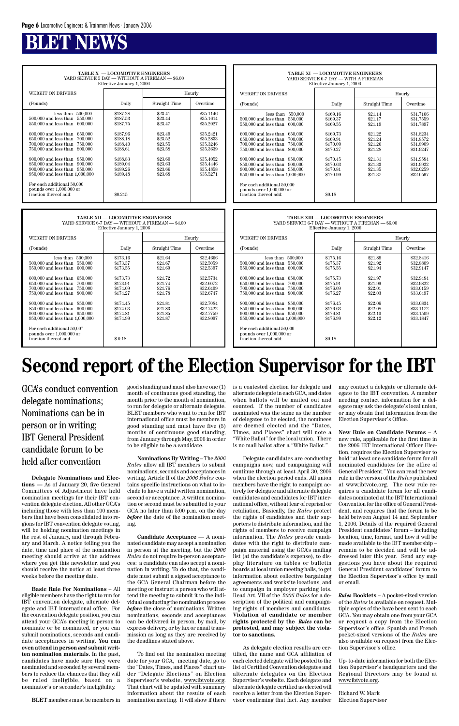## **BLACK**

**TABLE X — LOCOMOTIVE ENGINEERS** YARD SERVICE 5 DAY — WITHOUT A FIREMAN — \$6.00

#### **TABLE XI — LOCOMOTIVE ENGINEERS** YARD SERVICE 6-7 DAY — WITH A FIREMAN Effective January 1, 2006 WEIGHT ON DRIVERS Hourly (Pounds) Daily Daily Straight Time Overtime less than 550,000 \$169.16 \$21.14 \$31.7166<br>less than 550,000 \$169.37 \$21.17 \$31.7559 500,000 and less than 550,000 \$169.37 \$21.17 \$31.7559<br>550,000 and less than 600,000 \$169.55 \$21.19 \$31.7897  $550,000$  and less than  $600,000$ 600,000 and less than 650,000 \$169.73 \$21.22 \$31.8234<br>650,000 and less than 700,000 \$169.91 \$21.24 \$31.8572 650,000 and less than 700,000 \$169.91 \$21.24 \$31.8572<br>
700,000 and less than 750,000 \$170.09 \$21.26 \$31.8909 700,000 and less than 750,000 \$170.09 \$21.26 \$31.8909<br>750,000 and less than 800,000 \$170.27 \$21.28 \$31.9247 750,000 and less than 800,000  $800,000$  and less than  $850,000$ <br>  $8170.45$ <br>  $850,000$  and less than  $900,000$ <br>  $8170.63$ <br>  $821.33$ <br>  $821.33$ <br>  $831.9922$ <br>  $81.9922$ <br>  $8170.81$ <br>  $821.35$ <br>  $821.35$ <br>  $821.35$ 850,000 and less than 900,000 <br>900.000 and less than 950.000 <br>\$170.81 \$21.35 900,000 and less than 950,000 \$170.81 \$21.35 \$32.0259<br>950,000 and less than 1,000,000 \$170.99 \$21.37 \$32.0597  $950,000$  and less than  $1,000,000$ For each additional 50,000 pounds over 1,000,000 or fraction thereof add:  $\qquad \qquad \qquad \text{\color{red}S0.18}$

| WEIGHT ON DRIVERS<br>Hourly<br>Overtime<br>(Pounds)<br>Daily<br>Straight Time<br>\$187.28<br>\$35.1146<br>less than<br>500,000<br>\$23.41<br>550,000<br>\$187.53<br>\$35.1614<br>500,000 and less than<br>\$23.44<br>550,000 and less than<br>600,000<br>\$187.75<br>\$35,2027<br>\$23.47<br>600,000 and less than<br>\$187.96<br>\$35.2421<br>650,000<br>\$23.49<br>$650,000$ and less than<br>700,000<br>\$188.18<br>\$23.52<br>\$35.2833<br>700,000 and less than<br>750,000<br>\$35,3246<br>\$188.40<br>\$23.55<br>750,000 and less than<br>800,000<br>\$188.61<br>\$23.58<br>\$35,3639<br>800,000 and less than 850,000<br>\$188.83<br>\$23.60<br>\$35,4052 | Effective January 1, 2006        |          |         |           |  |  |  |  |
|------------------------------------------------------------------------------------------------------------------------------------------------------------------------------------------------------------------------------------------------------------------------------------------------------------------------------------------------------------------------------------------------------------------------------------------------------------------------------------------------------------------------------------------------------------------------------------------------------------------------------------------------------------------|----------------------------------|----------|---------|-----------|--|--|--|--|
|                                                                                                                                                                                                                                                                                                                                                                                                                                                                                                                                                                                                                                                                  |                                  |          |         |           |  |  |  |  |
|                                                                                                                                                                                                                                                                                                                                                                                                                                                                                                                                                                                                                                                                  |                                  |          |         |           |  |  |  |  |
| 900,000 and less than 950,000<br>\$189.26<br>\$35.4858<br>\$23.66<br>950,000 and less than 1,000,000<br>\$189.48<br>\$23.68<br>\$35.5271<br>For each additional 50,000<br>pounds over 1,000,000 or<br>fraction thereof add:<br>\$0.215                                                                                                                                                                                                                                                                                                                                                                                                                           | 850,000 and less than<br>900,000 | \$189.04 | \$23.63 | \$35.4446 |  |  |  |  |

**TABLE XII — LOCOMOTIVE ENGINEERS** YARD SERVICE 6-7 DAY — WITHOUT A FIREMAN — \$4.00

| Effective January 1, 2006                                                                                                                                                                                                                                    |                                                                      |                                                                |                                                                            |  |  |  |  |
|--------------------------------------------------------------------------------------------------------------------------------------------------------------------------------------------------------------------------------------------------------------|----------------------------------------------------------------------|----------------------------------------------------------------|----------------------------------------------------------------------------|--|--|--|--|
| WEIGHT ON DRIVERS                                                                                                                                                                                                                                            |                                                                      |                                                                | Hourly                                                                     |  |  |  |  |
| (Pounds)                                                                                                                                                                                                                                                     | Daily                                                                | Straight Time                                                  | Overtime                                                                   |  |  |  |  |
| 500,000<br>less than<br>500,000 and less than<br>550,000<br>550,000 and less than<br>600,000<br>600,000 and less than<br>650,000<br>650,000 and less than<br>700,000<br>700,000 and less than<br>750,000                                                     | \$173.16<br>\$173.37<br>\$173.55<br>\$173.73<br>\$173.91<br>\$174.09 | \$21.64<br>\$21.67<br>\$21.69<br>\$21.72<br>\$21.74<br>\$21.76 | \$32.4666<br>\$32.5059<br>\$32.5397<br>\$32.5734<br>\$32.6072<br>\$32.6409 |  |  |  |  |
| 750,000 and less than<br>800,000<br>800,000 and less than 850,000<br>850,000 and less than<br>900,000<br>900,000 and less than 950,000<br>950,000 and less than 1,000,000<br>For each additional 50,00"<br>pounds over 1,000,000 or<br>fraction thereof add: | \$174.27<br>\$174.45<br>\$174.63<br>\$174.81<br>\$174.99<br>\$0.18   | \$21.78<br>\$21.81<br>\$21.83<br>\$21.85<br>\$21.87            | \$32.6747<br>\$32.7084<br>\$32.7422<br>\$32,7759<br>\$32.8097              |  |  |  |  |

**TABLE XIII — LOCOMOTIVE ENGINEERS** YARD SERVICE 6-7 DAY — WITHOUT A FIREMAN — \$6.00

| Effective January 1, 2006                                                                                                                                                                                                                                                        |                                                                                              |                                                                                      |                                                                                                      |  |  |  |  |
|----------------------------------------------------------------------------------------------------------------------------------------------------------------------------------------------------------------------------------------------------------------------------------|----------------------------------------------------------------------------------------------|--------------------------------------------------------------------------------------|------------------------------------------------------------------------------------------------------|--|--|--|--|
| WEIGHT ON DRIVERS                                                                                                                                                                                                                                                                |                                                                                              |                                                                                      | Hourly                                                                                               |  |  |  |  |
| (Pounds)                                                                                                                                                                                                                                                                         | Daily                                                                                        | Straight Time                                                                        | Overtime                                                                                             |  |  |  |  |
| 500,000<br>less than<br>500,000 and less than<br>550,000<br>550,000 and less than<br>600,000<br>600,000 and less than<br>650,000<br>700,000<br>650,000 and less than<br>750,000<br>700,000 and less than<br>800,000<br>750,000 and less than<br>800,000 and less than<br>850,000 | \$175.16<br>\$175.37<br>\$175.55<br>\$175.73<br>\$175.91<br>\$176.09<br>\$176.27<br>\$176.45 | \$21.89<br>\$21.92<br>\$21.94<br>\$21.97<br>\$21.99<br>\$22.01<br>\$22.03<br>\$22.06 | \$32.8416<br>\$32,8809<br>\$32.9147<br>\$32.9484<br>\$32.9822<br>\$33,0159<br>\$33.0497<br>\$33,0834 |  |  |  |  |
| 850,000 and less than<br>900,000<br>900,000 and less than 950,000<br>950,000 and less than 1,000,000<br>For each additional 50,000<br>pounds over 1,000,000 or<br>fraction thereof add:                                                                                          | \$176.63<br>\$176.81<br>\$176.99<br>\$0.18                                                   | \$22.08<br>\$22.10<br>\$22.12                                                        | \$33.1172<br>\$33.1509<br>\$33.1847                                                                  |  |  |  |  |

**Delegate Nominations and Elections —** As of January 20, five General Committees of Adjustment have held nomination meetings for their IBT convention delegate election. All other GCA's including those with less than 100 members that have been consolidated into regions for IBT convention delegate voting, will be holding nomination meetings in the rest of January, and through February and March. A notice telling you the date, time and place of the nomination meeting should arrive at the address where you get this newsletter, and you should receive the notice at least three weeks before the meeting date.

**Basic Rule For Nominations** – All eligible members have the right to run for IBT convention delegate, alternate delegate and IBT international office. For the convention delegate position, you can attend your GCA's meeting in person to nominate or be nominated, or you can submit nominations, seconds and candidate acceptances in writing. **You can even attend in person** *and* **submit written nomination materials.** In the past, candidates have made sure they were nominated and seconded by several members to reduce the chances that they will be ruled ineligible, based on a nominator's or seconder's ineligibility.

**BLET** members must be members in

good standing and must also have one (1) month of continuous good standing, the month prior to the month of nomination, to run for delegate or alternate delegate. BLET members who want to run for IBT international office must be members in good standing and must have five (5) months of continuous good standing, from January through May, 2006 in order to be eligible to be a candidate.

**Nominations By Writing –** The *2006 Rules* allow all IBT members to submit nominations, seconds and acceptances in writing. Article II of the *2006 Rules* contains specific instructions on what to include to have a valid written nomination, second or acceptance. A written nomination or second must be submitted to your GCA no later than 5:00 p.m. on the day *before* the date of the nomination meeting.

**Candidate Acceptance** — A nominated candidate may accept a nomination in person at the meeting, but the *2006 Rules* do not require in-person acceptances: a candidate can also accept a nomination in writing. To do that, the candidate must submit a signed acceptance to the GCA General Chairman before the meeting or instruct a person who will attend the meeting to submit it to the individual conducting the nomination process *before* the close of nominations. Written nominations, seconds and acceptances can be delivered in person, by mail, by express delivery, or by fax or email transmission as long as they are received by the deadlines stated above.

To find out the nomination meeting date for your GCA, meeting date, go to the "Dates, Times, and Places" chart under "Delegate Elections" on Election Supervisor's website, www.ibtvote.org. That chart will be updated with summary information about the results of each nomination meeting. It will show if there

is a contested election for delegate and alternate delegate in each GCA, and dates when ballots will be mailed out and counted. If the number of candidates nominated was the same as the number of delegates to be elected, the nominees are deemed elected and the "Dates, Times, and Places" chart will note a "White Ballot" for the local union. There is no mail ballot after a "White Ballot."

Delegate candidates are conducting campaigns now, and campaigning will continue through at least April 30, 2006 when the election period ends. All union members have the right to campaign actively for delegate and alternate delegate candidates and candidates for IBT international office, without fear of reprisal or retaliation. Basically, the *Rules* protect the rights of candidates and their supporters to distribute information, and the rights of members to receive campaign information. The *Rules* provide candidates with the right to distribute campaign material using the GCA's mailing list (at the candidate's expense), to display literature on tables or bulletin boards at local union meeting halls, to get information about collective bargaining agreements and worksite locations, and to campaign in employer parking lots. Read Art.␣ VII of the *2006 Rules* for a description of the political and campaigning rights of members and candidates. **Violation of candidate or member rights protected by the** *Rules* **can be protested, and may subject the violator to sanctions.**

As delegate election results are certified, the name and GCA affiliation of each elected delegate will be posted to the list of Certified Convention delegates and alternate delegates on the Election Supervisor's website. Each delegate and alternate delegate certified as elected will receive a letter from the Election Supervisor confirming that fact. Any member may contact a delegate or alternate delegate to the IBT convention. A member needing contact information for a delegate may ask the delegate's local union, or may obtain that information from the Election Supervisor's Office.

**New Rule on Candidate Forums –** A new rule, applicable for the first time in the 2006 IBT International Officer Election, requires the Election Supervisor to hold "at least one candidate forum for all nominated candidates for the office of General President." You can read the new rule in the version of the *Rules* published at www.ibtvote.org. The new rule requires a candidate forum for all candidates nominated at the IBT International Convention for the office of General President, and requires that the forum to be held between August 14 and September 1, 2006. Details of the required General President candidates' forum – including location, time, format, and how it will be made available to the IBT membership – remain to be decided and will be addressed later this year. Send any suggestions you have about the required General President candidates' forum to the Election Supervisor's office by mail or email.

*Rules* **Booklets –** A pocket-sized version of the *Rules* is available on request. Multiple copies of the have been sent to each GCA. You may obtain one from your GCA or request a copy from the Election Supervisor's office. Spanish and French pocket-sized versions of the *Rules* are also available on request from the Election Supervisor's office.

Up- to-date information for both the Election Supervisor's headquarters and the Regional Directors may be found at www.ibtvote.org.

Richard W. Mark Election Supervisor

## **Second report of the Election Supervisor for the IBT**

GCA's conduct convention delegate nominations; Nominations can be in person or in writing; IBT General President candidate forum to be held after convention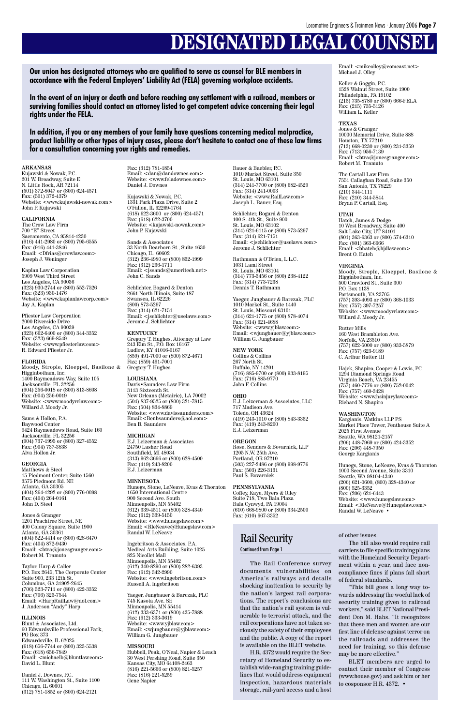## **DESIGNATED LEGAL COUNSEL**

#### **ARKANSAS**

Kujawski & Nowak, P.C. 201 W. Broadway, Suite E N. Little Rock, AR 72114 (501) 372-8047 or (800) 624-4571 Fax: (501) 372-4379 Website: <www.kujawski-nowak.com> John P. Kujawski

#### **CALIFORNIA**

The Crow Law Firm 700 "E" Street Sacramento, CA 95814-1230 (916) 441-2980 or (800) 795-6555  $\hat{F}ax:(916)$  441-3846 Email: <Dfrias@crowlaw.com> Joseph J. Weninger

Kaplan Law Corporation 5909 West Third Street Los Angeles, CA 90036 (323) 930-2744 or (800) 552-7526 Fax: (323) 930-1476 Website: <www.kaplanlawcorp.com> Jay A. Kaplan

Pfiester Law Corporation 2000 Riverside Drive Los Angeles, CA 90039 (323) 662-6400 or (800) 344-3352 Fax: (323) 669-8549 Website: <www.pfiesterlaw.com> R. Edward Pfiester Jr.

#### **FLORIDA**

Moody, Strople, Kloeppel, Basilone & Higginbotham, Inc. 1400 Baymeadows Way, Suite 105 Jacksonville, FL 32256 (904) 256-0018 or (800) 813-8608 Fax: (904) 256-0019 Website: <www.moodyrrlaw.com> Willard J. Moody Jr.

Sams & Hollon, P.A. Baywood Center 9424 Baymeadows Road, Suite 160 Jacksonville, FL 32256 (904) 737-1995 or (800) 327-4552 Fax: (904) 737-3838 Alva Hollon Jr.

#### **GEORGIA**

Matthews & Steel 15 Piedmont Center, Suite 1560 3575 Piedmont Rd. NE Atlanta, GA 30305 (404) 264-1292 or (800) 776-0098 Fax: (404) 264-0161 John D. Steel

Jones & Granger 1201 Peachtree Street, NE 400 Colony Square, Suite 1900 Atlanta, GA 30361 (404) 522-4414 or (800) 628-6470 Fax: (404) 872-9430 Email: <btra@jonesgranger.com> Robert M. Tramuto

Taylor, Harp & Caller P.O. Box 2645, The Corporate Center Suite 900, 233 12th St. Columbus, GA 31902-2645 (706) 323-7711 or (800) 422-3352 Fax: (706) 323-7544 Email: <HarpRailLaw@aol.com> J. Anderson "Andy" Harp

#### **ILLINOIS**

Blunt & Associates, Ltd. 60 Edwardsville Professional Park, PO Box 373 Edwardsville, IL 62025 (618) 656-7744 or (800) 323-5538 Fax: (618) 656-7849 Email: <michaelb@bluntlaw.com> David L. Blunt

Daniel J. Downes, P.C. 111 W. Washington St., Suite 1100 Chicago, IL 60601 (312) 781-1852 or (800) 624-2121

Fax: (312) 781-1854 Email: <dan@dandownes.com> Website: <www.feladownes.com> Daniel J. Downes

Kujawski & Nowak, P.C. 1331 Park Plaza Drive, Suite 2 O'Fallon, IL 62269-1764 (618) 622-3600 or (800) 624-4571 Fax: (618) 622-3700 Website: <kujawski-nowak.com> John P. Kujawski

Sands & Associates 33 North Dearborn St., Suite 1630 Chicago, IL 60602 (312) 236-4980 or (800) 832-1999 Fax: (312) 236-1711 Email: <jssands@ameritech.net> John C. Sands

Schlichter, Bogard & Denton 2661 North Illinois, Suite 187 Swansea, IL 62226 (800) 873-5297 Fax: (314) 621-7151 Email: <jschlichter@uselaws.com> Jerome J. Schlichter

#### **KENTUCKY**

Email:  $\leq$ mikeolley@comcast.net $>$ Michael J. Olley

Gregory T. Hughes, Attorney at Law 243 Elm St., P.O. Box 16167 Ludlow, KY 41016-0167 (859) 491-7000 or (800) 872-4671 Fax: (859) 491-7001 Gregory T. Hughes

#### **LOUISIANA**

Davis•Saunders Law Firm 3113 Sixteenth St. New Orleans (Metairie), LA 70002 (504) 837-9525 or (800) 321-7815 Fax: (504) 834-8869 Website: <www.davissaunders.com> Email:<Benbsaunders@aol.com> Ben B. Saunders

#### **MICHIGAN**

E.J. Leizerman & Associates 24750 Lasher Road Southfield, MI 48034 (313) 962-3666 or (800) 628-4500 Fax: (419) 243-8200 E.J. Leizerman

#### **MINNESOTA**

Hunegs, Stone, LeNeave, Kvas & Thornton 1650 International Centre 900 Second Ave. South Minneapolis, MN 55402 (612) 339-4511 or (800) 328-4340 Fax: (612) 339-5150 Website: <www.hunegslaw.com> Email: <RleNeave@Hunegslaw.com> Randal W. LeNeave

Ingebritson & Associates, P.A. Medical Arts Building, Suite 1025 825 Nicollet Mall Minneapolis, MN 55402 (612) 340-8290 or (800) 282-6393 Fax: (612) 342-2990 Website: <www.ingebritson.com> Russell A. Ingebritson

Yaeger, Jungbauer & Barczak, PLC 745 Kasota Ave. SE Minneapolis, MN 55414 (612) 333-6371 or (800) 435-7888 Fax: (612) 333-3619 Website: <www.yjblaw.com> Email: <wjungbauer@yjblaw.com> William G. Jungbauer

#### **MISSOURI**

Hubbell, Peak, O'Neal, Napier & Leach 30 West Pershing Road, Suite 350 Kansas City, MO 64108-2463 (816) 221-5666 or (800) 821-5257 Fax: (816) 221-5259 Gene Napier

Bauer & Baebler, P.C. 1010 Market Street, Suite 350 St. Louis, MO 63101 (314) 241-7700 or (800) 682-4529 Fax: (314) 241-0003 Website: <www.RailLaw.com> Joseph L. Bauer, Esq.

Schlichter, Bogard & Denton 100 S. 4th St., Suite 900 St. Louis, MO 63102 (314) 621-6115 or (800) 873-5297 Fax: (314) 621-7151 Email: <jschlichter@uselaws.com> Jerome J. Schlichter

Rathmann & O'Brien, L.L.C. 1031 Lami Street St. Louis, MO 63104 (314) 773-3456 or (800) 238-4122 Fax: (314) 773-7238 Dennis T. Rathmann

Yaeger, Jungbauer & Barczak, PLC 1010 Market St., Suite 1440 St. Louis, Missouri 63101 (314) 621-1775 or (800) 878-4074 Fax: (314) 621-4688 Website: <www.yjblaw.com> Email: <wjungbauer@yjblaw.com> William G. Jungbauer

#### **NEW YORK**

Collins & Collins 267 North St. Buffalo, NY 14201 (716) 885-9700 or (800) 933-8195 Fax: (716) 885-9770 John F. Collins

#### **OHIO**

E.J. Leizerman & Associates, LLC 717 Madison Ave. Toledo, OH 43624 (419) 243-1010 or (800) 843-3352 Fax: (419) 243-8200 E.J. Leizerman

#### **OREGON**

Rose, Senders & Bovarnick, LLP 1205 N.W. 25th Ave. Portland, OR 97210 (503) 227-2486 or (800) 998-9776 Fax: (503) 226-3131 Paul S. Bovarnick

#### **PENNSYLVANIA**

Coffey, Kaye, Myers & Olley Suite 718, Two Bala Plaza Bala Cynwyd, PA 19004 (610) 668-9800 or (800) 334-2500 Fax: (610) 667-3352

Keller & Goggin, P.C. 1528 Walnut Street, Suite 1900 Philadelphia, PA 19102 (215) 735-8780 or (800) 666-FELA Fax: (215) 735-5126 William L. Keller

#### **TEXAS**

Jones & Granger 10000 Memorial Drive, Suite 888 Houston, TX 77210 (713) 668-0230 or (800) 231-3359 Fax: (713) 956-7139 Email: <btra@jonesgranger.com> Robert M. Tramuto

The Cartall Law Firm 7551 Callaghan Road, Suite 350 San Antonio, TX 78229 (210) 344-1111 Fax: (210) 344-5844 Bryan P. Cartall, Esq.

#### **UTAH**

Hatch, James & Dodge 10 West Broadway, Suite 400 Salt Lake City, UT 84101 (801) 363-6363 or (800) 574-6310 Fax: (801) 363-6666 Email: <bhatch@hjdlaw.com> Brent O. Hatch

#### **VIRGINIA**

Moody, Strople, Kloeppel, Basilone & Higginbotham, Inc. 500 Crawford St., Suite 300 P.O. Box 1138 Portsmouth, VA 23705 (757) 393-4093 or (800) 368-1033 Fax: (757) 397-7257 Website: <www.moodyrrlaw.com> Willard J. Moody Jr.

#### Rutter Mills 160 West Brambleton Ave. Norfolk, VA 23510 (757) 622-5000 or (800) 933-5879 Fax: (757) 623-9189

C. Arthur Rutter, III

Hajek, Shapiro, Cooper & Lewis, PC 1294 Diamond Springs Road Virginia Beach, VA 23455 (757) 460-7776 or (800) 752-0042 Fax: (757) 460-3428 Website: <www.hsinjurylaw.com> Richard N. Shapiro

#### **WASHINGTON**

Kargianis, Watkins LLP PS Market Place Tower, Penthouse Suite A 2025 First Avenue Seattle, WA 98121-2157 (206) 448-7969 or (800) 424-3352 Fax: (206) 448-7950 George Kargianis

Hunegs, Stone, LeNeave, Kvas & Thornton 1000 Second Avenue, Suite 3310 Seattle, WA 98104-4340 (206) 621-0600, (800) 328-4340 or  $(800)$  525-3352 Fax: (206) 621-6443 Website: <www.hunegslaw.com> Email: <RleNeave@Hunegslaw.com> Randal W. LeNeave •

**Our union has designated attorneys who are qualified to serve as counsel for BLE members in accordance with the Federal Employers' Liability Act (FELA) governing workplace accidents.**

**In the event of an injury or death and before reaching any settlement with a railroad, members or surviving families should contact an attorney listed to get competent advice concerning their legal rights under the FELA.**

**In addition, if you or any members of your family have questions concerning medical malpractice, product liability or other types of injury cases, please don't hesitate to contact one of these law firms for a consultation concerning your rights and remedies.**

> The Rail Conference survey documents vulnerabilities on America's railways and details shocking inattention to security by the nation's largest rail corporations. The report's conclusions are that the nation's rail system is vulnerable to terrorist attack, and the rail corporations have not taken seriously the safety of their employees and the public. A copy of the report is available on the BLET website.

H.R. 4372 would require the Secretary of Homeland Security to establish wide-ranging training guidelines that would address equipment inspection, hazardous materials storage, rail-yard access and a host

#### of other issues.

The bill also would require rail carriers to file specific training plans with the Homeland Security Department within a year, and face noncompliance fines if plans fall short of federal standards.

"This bill goes a long way towards addressing the woeful lack of security training given to railroad workers," said BLET National President Don M. Hahs. "It recognizes that these men and women are our first line of defense against terror on the railroads and addresses the need for training, so this defense may be more effective."

BLET members are urged to contact their member of Congress (www.house.gov) and ask him or her to cosponsor H.R. 4372. •

### Rail Security

#### Continued from Page 1